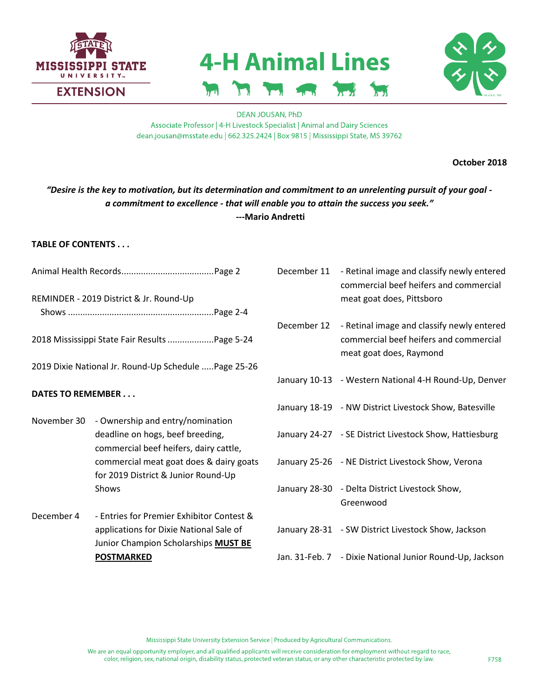

# **4-H Animal Lines**



**DEAN JOUSAN, PhD** Associate Professor | 4-H Livestock Specialist | Animal and Dairy Sciences dean.jousan@msstate.edu | 662.325.2424 | Box 9815 | Mississippi State, MS 39762

**October 2018**

# *"Desire is the key to motivation, but its determination and commitment to an unrelenting pursuit of your goal a commitment to excellence - that will enable you to attain the success you seek."* **---Mario Andretti**

## **TABLE OF CONTENTS . . .**

**POSTMARKED**

- Animal Health Records......................................Page 2 REMINDER - 2019 District & Jr. Round-Up Shows ............................................................Page 2-4 2018 Mississippi State Fair Results...................Page 5-24 2019 Dixie National Jr. Round-Up Schedule .....Page 25-26 **DATES TO REMEMBER . . .** November 30 - Ownership and entry/nomination deadline on hogs, beef breeding, commercial beef heifers, dairy cattle, commercial meat goat does & dairy goats for 2019 District & Junior Round-Up Shows December 4 - Entries for Premier Exhibitor Contest & applications for Dixie National Sale of Junior Champion Scholarships **MUST BE**  December 11 - Retinal image and classify newly entered commercial beef heifers and commercial meat goat does, Pittsboro December 12 - Retinal image and classify newly entered commercial beef heifers and commercial meat goat does, Raymond January 10-13 - Western National 4-H Round-Up, Denver January 18-19 - NW District Livestock Show, Batesville January 24-27 - SE District Livestock Show, Hattiesburg January 25-26 - NE District Livestock Show, Verona January 28-30 - Delta District Livestock Show, Greenwood January 28-31 - SW District Livestock Show, Jackson
	- Jan. 31-Feb. 7 Dixie National Junior Round-Up, Jackson

Mississippi State University Extension Service | Produced by Agricultural Communications.

We are an equal opportunity employer, and all qualified applicants will receive consideration for employment without regard to race, color, religion, sex, national origin, disability status, protected veteran status, or any other characteristic protected by law.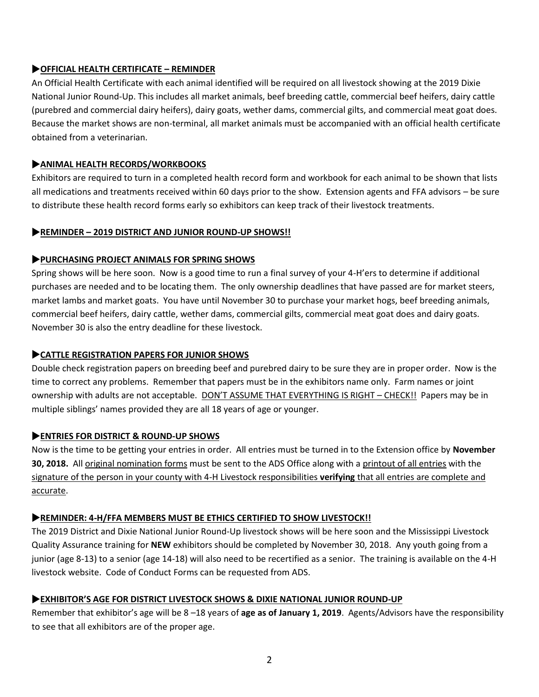## **OFFICIAL HEALTH CERTIFICATE – REMINDER**

An Official Health Certificate with each animal identified will be required on all livestock showing at the 2019 Dixie National Junior Round-Up. This includes all market animals, beef breeding cattle, commercial beef heifers, dairy cattle (purebred and commercial dairy heifers), dairy goats, wether dams, commercial gilts, and commercial meat goat does. Because the market shows are non-terminal, all market animals must be accompanied with an official health certificate obtained from a veterinarian.

## **ANIMAL HEALTH RECORDS/WORKBOOKS**

Exhibitors are required to turn in a completed health record form and workbook for each animal to be shown that lists all medications and treatments received within 60 days prior to the show. Extension agents and FFA advisors – be sure to distribute these health record forms early so exhibitors can keep track of their livestock treatments.

## **REMINDER – 2019 DISTRICT AND JUNIOR ROUND-UP SHOWS!!**

## **PURCHASING PROJECT ANIMALS FOR SPRING SHOWS**

Spring shows will be here soon. Now is a good time to run a final survey of your 4-H'ers to determine if additional purchases are needed and to be locating them. The only ownership deadlines that have passed are for market steers, market lambs and market goats. You have until November 30 to purchase your market hogs, beef breeding animals, commercial beef heifers, dairy cattle, wether dams, commercial gilts, commercial meat goat does and dairy goats. November 30 is also the entry deadline for these livestock.

## **CATTLE REGISTRATION PAPERS FOR JUNIOR SHOWS**

Double check registration papers on breeding beef and purebred dairy to be sure they are in proper order. Now is the time to correct any problems. Remember that papers must be in the exhibitors name only. Farm names or joint ownership with adults are not acceptable. DON'T ASSUME THAT EVERYTHING IS RIGHT – CHECK!! Papers may be in multiple siblings' names provided they are all 18 years of age or younger.

#### **ENTRIES FOR DISTRICT & ROUND-UP SHOWS**

Now is the time to be getting your entries in order. All entries must be turned in to the Extension office by **November 30, 2018.** All original nomination forms must be sent to the ADS Office along with a printout of all entries with the signature of the person in your county with 4-H Livestock responsibilities **verifying** that all entries are complete and accurate.

#### **REMINDER: 4-H/FFA MEMBERS MUST BE ETHICS CERTIFIED TO SHOW LIVESTOCK!!**

The 2019 District and Dixie National Junior Round-Up livestock shows will be here soon and the Mississippi Livestock Quality Assurance training for **NEW** exhibitors should be completed by November 30, 2018. Any youth going from a junior (age 8-13) to a senior (age 14-18) will also need to be recertified as a senior. The training is available on the 4-H livestock website. Code of Conduct Forms can be requested from ADS.

#### **EXHIBITOR'S AGE FOR DISTRICT LIVESTOCK SHOWS & DIXIE NATIONAL JUNIOR ROUND-UP**

Remember that exhibitor's age will be 8 –18 years of **age as of January 1, 2019**. Agents/Advisors have the responsibility to see that all exhibitors are of the proper age.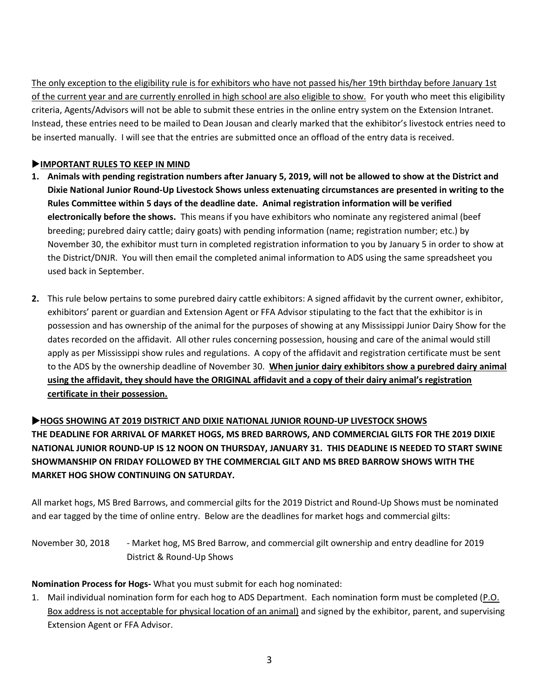The only exception to the eligibility rule is for exhibitors who have not passed his/her 19th birthday before January 1st of the current year and are currently enrolled in high school are also eligible to show. For youth who meet this eligibility criteria, Agents/Advisors will not be able to submit these entries in the online entry system on the Extension Intranet. Instead, these entries need to be mailed to Dean Jousan and clearly marked that the exhibitor's livestock entries need to be inserted manually. I will see that the entries are submitted once an offload of the entry data is received.

## **IMPORTANT RULES TO KEEP IN MIND**

- **1. Animals with pending registration numbers after January 5, 2019, will not be allowed to show at the District and Dixie National Junior Round-Up Livestock Shows unless extenuating circumstances are presented in writing to the Rules Committee within 5 days of the deadline date. Animal registration information will be verified electronically before the shows.** This means if you have exhibitors who nominate any registered animal (beef breeding; purebred dairy cattle; dairy goats) with pending information (name; registration number; etc.) by November 30, the exhibitor must turn in completed registration information to you by January 5 in order to show at the District/DNJR. You will then email the completed animal information to ADS using the same spreadsheet you used back in September.
- **2.** This rule below pertains to some purebred dairy cattle exhibitors: A signed affidavit by the current owner, exhibitor, exhibitors' parent or guardian and Extension Agent or FFA Advisor stipulating to the fact that the exhibitor is in possession and has ownership of the animal for the purposes of showing at any Mississippi Junior Dairy Show for the dates recorded on the affidavit. All other rules concerning possession, housing and care of the animal would still apply as per Mississippi show rules and regulations. A copy of the affidavit and registration certificate must be sent to the ADS by the ownership deadline of November 30. **When junior dairy exhibitors show a purebred dairy animal using the affidavit, they should have the ORIGINAL affidavit and a copy of their dairy animal's registration certificate in their possession.**

# **HOGS SHOWING AT 2019 DISTRICT AND DIXIE NATIONAL JUNIOR ROUND-UP LIVESTOCK SHOWS THE DEADLINE FOR ARRIVAL OF MARKET HOGS, MS BRED BARROWS, AND COMMERCIAL GILTS FOR THE 2019 DIXIE NATIONAL JUNIOR ROUND-UP IS 12 NOON ON THURSDAY, JANUARY 31. THIS DEADLINE IS NEEDED TO START SWINE SHOWMANSHIP ON FRIDAY FOLLOWED BY THE COMMERCIAL GILT AND MS BRED BARROW SHOWS WITH THE MARKET HOG SHOW CONTINUING ON SATURDAY.**

All market hogs, MS Bred Barrows, and commercial gilts for the 2019 District and Round-Up Shows must be nominated and ear tagged by the time of online entry. Below are the deadlines for market hogs and commercial gilts:

November 30, 2018 - Market hog, MS Bred Barrow, and commercial gilt ownership and entry deadline for 2019 District & Round-Up Shows

**Nomination Process for Hogs-** What you must submit for each hog nominated:

1. Mail individual nomination form for each hog to ADS Department. Each nomination form must be completed (P.O. Box address is not acceptable for physical location of an animal) and signed by the exhibitor, parent, and supervising Extension Agent or FFA Advisor.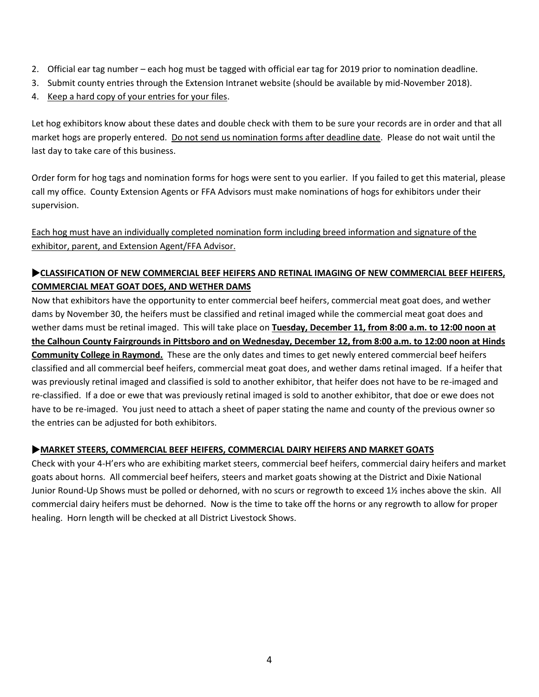- 2. Official ear tag number each hog must be tagged with official ear tag for 2019 prior to nomination deadline.
- 3. Submit county entries through the Extension Intranet website (should be available by mid-November 2018).
- 4. Keep a hard copy of your entries for your files.

Let hog exhibitors know about these dates and double check with them to be sure your records are in order and that all market hogs are properly entered. Do not send us nomination forms after deadline date. Please do not wait until the last day to take care of this business.

Order form for hog tags and nomination forms for hogs were sent to you earlier. If you failed to get this material, please call my office. County Extension Agents or FFA Advisors must make nominations of hogs for exhibitors under their supervision.

Each hog must have an individually completed nomination form including breed information and signature of the exhibitor, parent, and Extension Agent/FFA Advisor.

# **CLASSIFICATION OF NEW COMMERCIAL BEEF HEIFERS AND RETINAL IMAGING OF NEW COMMERCIAL BEEF HEIFERS, COMMERCIAL MEAT GOAT DOES, AND WETHER DAMS**

Now that exhibitors have the opportunity to enter commercial beef heifers, commercial meat goat does, and wether dams by November 30, the heifers must be classified and retinal imaged while the commercial meat goat does and wether dams must be retinal imaged. This will take place on **Tuesday, December 11, from 8:00 a.m. to 12:00 noon at the Calhoun County Fairgrounds in Pittsboro and on Wednesday, December 12, from 8:00 a.m. to 12:00 noon at Hinds Community College in Raymond.** These are the only dates and times to get newly entered commercial beef heifers classified and all commercial beef heifers, commercial meat goat does, and wether dams retinal imaged. If a heifer that was previously retinal imaged and classified is sold to another exhibitor, that heifer does not have to be re-imaged and re-classified. If a doe or ewe that was previously retinal imaged is sold to another exhibitor, that doe or ewe does not have to be re-imaged. You just need to attach a sheet of paper stating the name and county of the previous owner so the entries can be adjusted for both exhibitors.

## **MARKET STEERS, COMMERCIAL BEEF HEIFERS, COMMERCIAL DAIRY HEIFERS AND MARKET GOATS**

Check with your 4-H'ers who are exhibiting market steers, commercial beef heifers, commercial dairy heifers and market goats about horns. All commercial beef heifers, steers and market goats showing at the District and Dixie National Junior Round-Up Shows must be polled or dehorned, with no scurs or regrowth to exceed 1½ inches above the skin. All commercial dairy heifers must be dehorned. Now is the time to take off the horns or any regrowth to allow for proper healing. Horn length will be checked at all District Livestock Shows.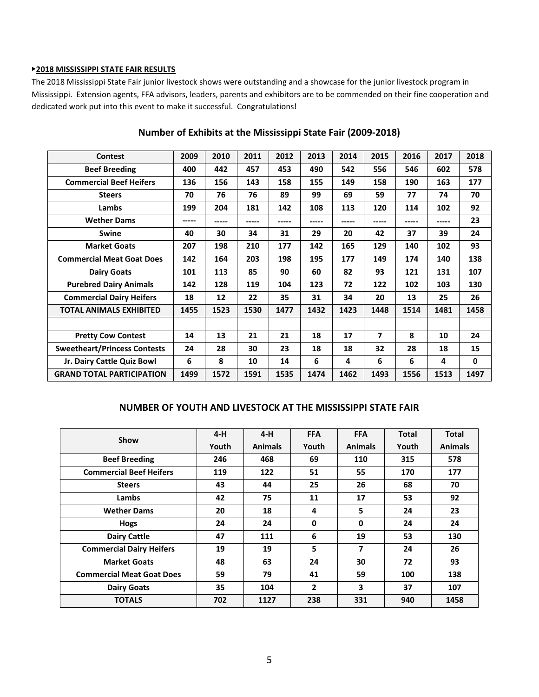#### ▶**2018 MISSISSIPPI STATE FAIR RESULTS**

The 2018 Mississippi State Fair junior livestock shows were outstanding and a showcase for the junior livestock program in Mississippi. Extension agents, FFA advisors, leaders, parents and exhibitors are to be commended on their fine cooperation and dedicated work put into this event to make it successful. Congratulations!

| <b>Contest</b>                      | 2009  | 2010 | 2011  | 2012  | 2013  | 2014 | 2015                     | 2016  | 2017  | 2018         |
|-------------------------------------|-------|------|-------|-------|-------|------|--------------------------|-------|-------|--------------|
| <b>Beef Breeding</b>                | 400   | 442  | 457   | 453   | 490   | 542  | 556                      | 546   | 602   | 578          |
| <b>Commercial Beef Heifers</b>      | 136   | 156  | 143   | 158   | 155   | 149  | 158                      | 190   | 163   | 177          |
| <b>Steers</b>                       | 70    | 76   | 76    | 89    | 99    | 69   | 59                       | 77    | 74    | 70           |
| Lambs                               | 199   | 204  | 181   | 142   | 108   | 113  | 120                      | 114   | 102   | 92           |
| <b>Wether Dams</b>                  | ----- |      | ----- | ----- | ----- |      | -----                    | ----- | ----- | 23           |
| <b>Swine</b>                        | 40    | 30   | 34    | 31    | 29    | 20   | 42                       | 37    | 39    | 24           |
| <b>Market Goats</b>                 | 207   | 198  | 210   | 177   | 142   | 165  | 129                      | 140   | 102   | 93           |
| <b>Commercial Meat Goat Does</b>    | 142   | 164  | 203   | 198   | 195   | 177  | 149                      | 174   | 140   | 138          |
| <b>Dairy Goats</b>                  | 101   | 113  | 85    | 90    | 60    | 82   | 93                       | 121   | 131   | 107          |
| <b>Purebred Dairy Animals</b>       | 142   | 128  | 119   | 104   | 123   | 72   | 122                      | 102   | 103   | 130          |
| <b>Commercial Dairy Heifers</b>     | 18    | 12   | 22    | 35    | 31    | 34   | 20                       | 13    | 25    | 26           |
| <b>TOTAL ANIMALS EXHIBITED</b>      | 1455  | 1523 | 1530  | 1477  | 1432  | 1423 | 1448                     | 1514  | 1481  | 1458         |
|                                     |       |      |       |       |       |      |                          |       |       |              |
| <b>Pretty Cow Contest</b>           | 14    | 13   | 21    | 21    | 18    | 17   | $\overline{\phantom{a}}$ | 8     | 10    | 24           |
| <b>Sweetheart/Princess Contests</b> | 24    | 28   | 30    | 23    | 18    | 18   | 32                       | 28    | 18    | 15           |
| Jr. Dairy Cattle Quiz Bowl          | 6     | 8    | 10    | 14    | 6     | 4    | 6                        | 6     | 4     | $\mathbf{0}$ |
| <b>GRAND TOTAL PARTICIPATION</b>    | 1499  | 1572 | 1591  | 1535  | 1474  | 1462 | 1493                     | 1556  | 1513  | 1497         |

#### **Number of Exhibits at the Mississippi State Fair (2009-2018)**

#### **NUMBER OF YOUTH AND LIVESTOCK AT THE MISSISSIPPI STATE FAIR**

| Show                             | $4-H$ | $4-H$          | <b>FFA</b>   | <b>FFA</b>              | <b>Total</b> | <b>Total</b>   |
|----------------------------------|-------|----------------|--------------|-------------------------|--------------|----------------|
|                                  | Youth | <b>Animals</b> | Youth        | <b>Animals</b>          | Youth        | <b>Animals</b> |
| <b>Beef Breeding</b>             | 246   | 468            | 69           | 110                     | 315          | 578            |
| <b>Commercial Beef Heifers</b>   | 119   | 122            | 51           | 55                      | 170          | 177            |
| <b>Steers</b>                    | 43    | 44             | 25           | 26                      | 68           | 70             |
| Lambs                            | 42    | 75             | 11           | 17                      | 53           | 92             |
| <b>Wether Dams</b>               | 20    | 18             | 4            | 5                       | 24           | 23             |
| Hogs                             | 24    | 24             | $\mathbf{0}$ | 0                       | 24           | 24             |
| <b>Dairy Cattle</b>              | 47    | 111            | 6            | 19                      | 53           | 130            |
| <b>Commercial Dairy Heifers</b>  | 19    | 19             | 5            | $\overline{\mathbf{z}}$ | 24           | 26             |
| <b>Market Goats</b>              | 48    | 63             | 24           | 30                      | 72           | 93             |
| <b>Commercial Meat Goat Does</b> | 59    | 79             | 41           | 59                      | 100          | 138            |
| <b>Dairy Goats</b>               | 35    | 104            | 2            | $\overline{\mathbf{3}}$ | 37           | 107            |
| <b>TOTALS</b>                    | 702   | 1127           | 238          | 331                     | 940          | 1458           |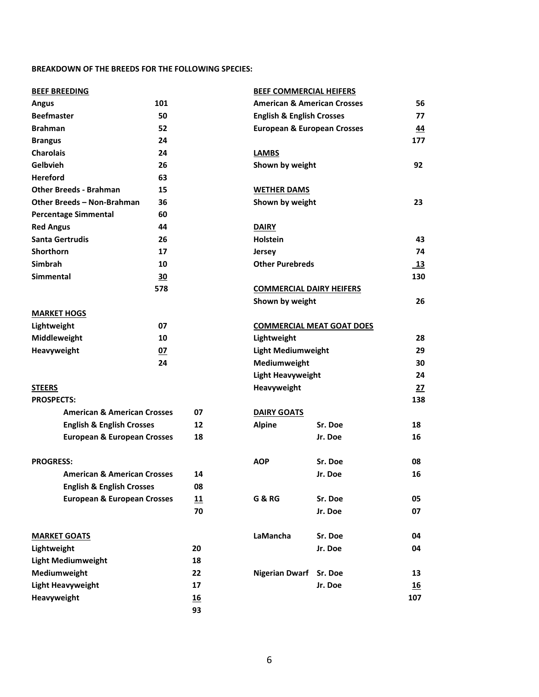#### **BREAKDOWN OF THE BREEDS FOR THE FOLLOWING SPECIES:**

| <b>BEEF BREEDING</b>                   |     |    | <b>BEEF COMMERCIAL HEIFERS</b>         |                                        |                 |
|----------------------------------------|-----|----|----------------------------------------|----------------------------------------|-----------------|
| 101<br><b>Angus</b>                    |     |    |                                        | <b>American &amp; American Crosses</b> |                 |
| <b>Beefmaster</b>                      | 50  |    | <b>English &amp; English Crosses</b>   |                                        | 77              |
| <b>Brahman</b>                         | 52  |    | <b>European &amp; European Crosses</b> |                                        | 44              |
| <b>Brangus</b>                         | 24  |    |                                        |                                        | 177             |
| <b>Charolais</b>                       | 24  |    | <b>LAMBS</b>                           |                                        |                 |
| Gelbvieh                               | 26  |    | Shown by weight                        |                                        | 92              |
| <b>Hereford</b>                        | 63  |    |                                        |                                        |                 |
| <b>Other Breeds - Brahman</b>          | 15  |    | <b>WETHER DAMS</b>                     |                                        |                 |
| Other Breeds - Non-Brahman             | 36  |    | Shown by weight                        |                                        | 23              |
| <b>Percentage Simmental</b>            | 60  |    |                                        |                                        |                 |
| <b>Red Angus</b>                       | 44  |    | <b>DAIRY</b>                           |                                        |                 |
| <b>Santa Gertrudis</b>                 | 26  |    | <b>Holstein</b>                        |                                        | 43              |
| <b>Shorthorn</b>                       | 17  |    | <b>Jersey</b>                          |                                        | 74              |
| <b>Simbrah</b>                         | 10  |    | <b>Other Purebreds</b>                 |                                        | $\overline{13}$ |
| <b>Simmental</b>                       | 30  |    |                                        |                                        | 130             |
|                                        | 578 |    | <b>COMMERCIAL DAIRY HEIFERS</b>        |                                        |                 |
|                                        |     |    | Shown by weight                        |                                        | 26              |
| <b>MARKET HOGS</b>                     |     |    |                                        |                                        |                 |
| Lightweight<br>07                      |     |    |                                        | <b>COMMERCIAL MEAT GOAT DOES</b>       |                 |
| Middleweight<br>10                     |     |    | Lightweight                            |                                        | 28              |
| Heavyweight<br>07                      |     |    | <b>Light Mediumweight</b>              |                                        | 29              |
|                                        | 24  |    | Mediumweight                           |                                        | 30              |
|                                        |     |    | <b>Light Heavyweight</b>               |                                        | 24              |
| <b>STEERS</b>                          |     |    | Heavyweight                            |                                        | 27              |
| <b>PROSPECTS:</b>                      |     |    |                                        |                                        | 138             |
| <b>American &amp; American Crosses</b> |     | 07 | <b>DAIRY GOATS</b>                     |                                        |                 |
| <b>English &amp; English Crosses</b>   |     | 12 | <b>Alpine</b>                          | Sr. Doe                                | 18              |
| <b>European &amp; European Crosses</b> |     | 18 |                                        | Jr. Doe                                | 16              |
|                                        |     |    |                                        |                                        |                 |
| <b>PROGRESS:</b>                       |     |    | <b>AOP</b>                             | Sr. Doe                                | 08              |
| <b>American &amp; American Crosses</b> |     | 14 |                                        | Jr. Doe                                | 16              |
| <b>English &amp; English Crosses</b>   |     | 08 |                                        |                                        |                 |
| <b>European &amp; European Crosses</b> |     | 11 | <b>G &amp; RG</b>                      | Sr. Doe                                | 05              |
|                                        |     | 70 |                                        | Jr. Doe                                | 07              |
| <b>MARKET GOATS</b>                    |     |    | LaMancha                               | Sr. Doe                                | 04              |
| Lightweight                            |     | 20 |                                        | Jr. Doe                                | 04              |
| <b>Light Mediumweight</b>              |     | 18 |                                        |                                        |                 |
| Mediumweight                           |     | 22 | <b>Nigerian Dwarf</b>                  | Sr. Doe                                | 13              |
| <b>Light Heavyweight</b>               |     | 17 |                                        | Jr. Doe                                | <u>16</u>       |
| Heavyweight                            |     | 16 |                                        |                                        | 107             |
|                                        |     | 93 |                                        |                                        |                 |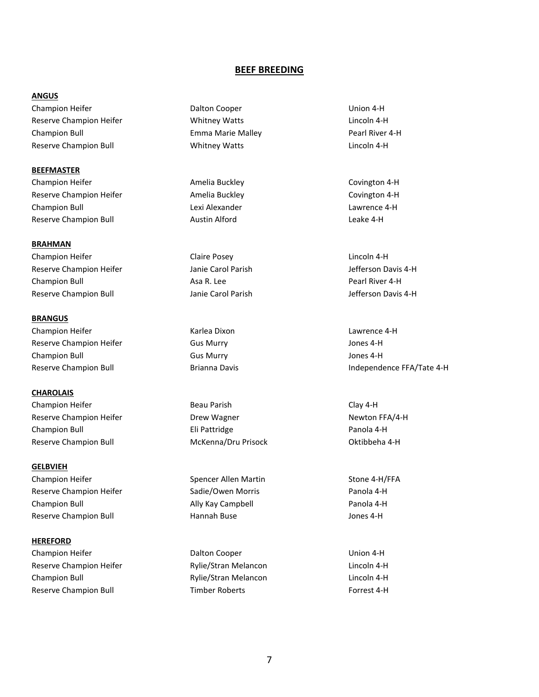#### **BEEF BREEDING**

#### **ANGUS**

Champion Heifer Dalton Cooper Union 4-H Reserve Champion Heifer The Communication Whitney Watts Theorem Communication 4-H Champion Bull **Emma Marie Malley Pearl River 4-H** Champion Bull Reserve Champion Bull **Network** Whitney Watts **Lincoln 4-H** Lincoln 4-H

**BEEFMASTER** Champion Heifer **Amelia Buckley Covington 4-H** Covington 4-H Reserve Champion Heifer **Amelia Buckley Covington 4-H** Covington 4-H Champion Bull Lexi Alexander Lawrence 4-H Reserve Champion Bull **Austin Alford** Austin Alford **Leake 4-H Leake 4-H** 

**BRAHMAN** Champion Heifer **Claire Posey** Claire Posey **Claire Posey** Lincoln 4-H Reserve Champion Heifer The Muslim Danie Carol Parish January 31 and Jefferson Davis 4-H Champion Bull **Asa R. Lee Champion Bull Asa R. Lee** Pearl River 4-H Reserve Champion Bull **State Carol Parish Accord Parish Carol Parish Accord Parish Accord Parish Accord Parish** Jefferson Davis 4-H

**BRANGUS** Champion Heifer Karlea Dixon Lawrence 4-H Reserve Champion Heifer The Gus Murry Connection of the Superversion of the Superversion of the Superversion of the Superversion of the Superversion of the Superversion of the Superversion of the Superversion of the Superv Champion Bull **Gus Murry Contact Champion Bull** Gus Murry **Champion Bull** Jones 4-H

**CHAROLAIS** Champion Heifer **Beau Parish Clay 4-H** Clay 4-H Reserve Champion Heifer **New Youte** Drew Wagner Newton FFA/4-H Champion Bull Eli Pattridge Panola 4-H Reserve Champion Bull **McKenna/Dru Prisock** Champion Bull McKenna McKenna / Dru Prisock Champion a 4-H

**GELBVIEH** Champion Heifer The Spencer Allen Martin Stone 4-H/FFA Reserve Champion Heifer The Sadie/Owen Morris Theorem 2014 4-H Champion Bull Ally Kay Campbell Panola 4-H Reserve Champion Bull **Hannah Buse** Hannah Buse Jones 4-H

#### **HEREFORD**

Champion Heifer Dalton Cooper Union 4-H Reserve Champion Heifer **Rylie/Stran Melancon** and Lincoln 4-H Champion Bull Rylie/Stran Melancon Lincoln 4-H Reserve Champion Bull **Reserve Champion Bull Timber Roberts** Forrest 4-H

Reserve Champion Bull **Brianna Davis Independence FFA/Tate 4-H Independence FFA/Tate 4-H**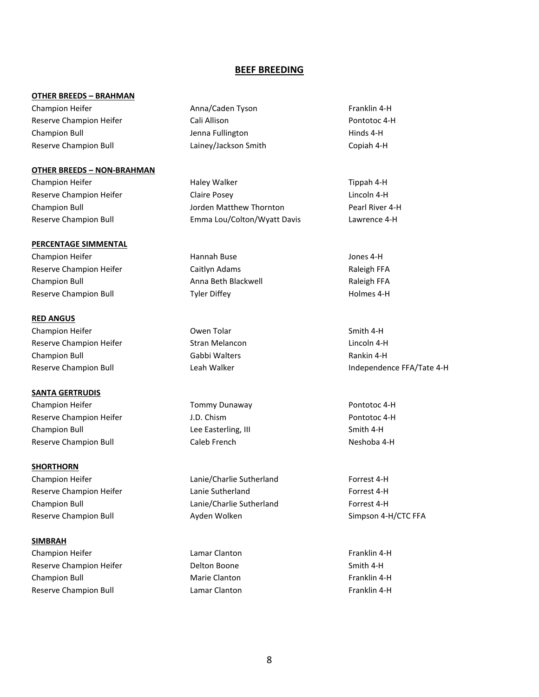#### **BEEF BREEDING**

#### **OTHER BREEDS – BRAHMAN**

## **OTHER BREEDS – NON-BRAHMAN**

#### **PERCENTAGE SIMMENTAL**

Champion Heifer **Hannah Buse** Hannah Buse **Hannah Buse** Jones 4-H Reserve Champion Heifer **Reserve Caitlyn Adams** Raleigh FFA Champion Bull Anna Beth Blackwell Raleigh FFA Reserve Champion Bull **Tyler Diffey** Transaction Tyler Diffey All the Holmes 4-H

#### **RED ANGUS**

Champion Heifer **Champion Heifer** Champion Heifer Smith 4-H Reserve Champion Heifer **Stran Melancon** Stran Melancon Lincoln 4-H Champion Bull Gabbi Walters Rankin 4-H

#### **SANTA GERTRUDIS**

Champion Heifer **Tommy Dunaway Pontotoc 4-H** Pontotoc 4-H Reserve Champion Heifer **Access 1.D.** Chism **Champion Heifer J.D.** Chism **Pontotoc 4-H** Champion Bull **Champion Bull** Champion Bull Champion Bull Champion Bull Champion Bull Champion Bull Champion Bull Champion Bull Champion Bull Champion Bull Champion Bull Champion Bull Champion Bull Champion Bull Champion B Reserve Champion Bull **Caleb French** Caleb French Neshoba 4-H

#### **SHORTHORN**

Champion Heifer Lanie/Charlie Sutherland Forrest 4-H Reserve Champion Bull **Ayden Wolken** Simpson 4-H/CTC FFA

#### **SIMBRAH**

Champion Heifer **Lamar Clanton Lamar Clanton Champion Heifer Franklin 4-H** Reserve Champion Heifer **Network Champion Heifer** Delton Boone **Smith 4-H** Champion Bull **Champion Bull** Marie Clanton **Franklin** 4-H Reserve Champion Bull **Example 2** Lamar Clanton Franklin 4-H

Champion Heifer **Anna/Caden Tyson** Franklin 4-H Reserve Champion Heifer **Cali Allison** Cali Allison **Pontotoc 4-H** Champion Bull **Champion Bull Champion Bull Champion** Jenna Fullington **Hinds 4-H** Reserve Champion Bull Lainey/Jackson Smith Copiah 4-H

Champion Heifer **Haley Walker** Haley Walker **Haley Walker** Tippah 4-H Reserve Champion Heifer **Claire Posey** Claire Posey **Lincoln 4-H** Champion Bull Jorden Matthew Thornton Pearl River 4-H Reserve Champion Bull Emma Lou/Colton/Wyatt Davis Lawrence 4-H

Reserve Champion Heifer **Reserve Champion Heifer** Lanie Sutherland **Forrest 4-H** Champion Bull Lanie/Charlie Sutherland Forrest 4-H

Reserve Champion Bull **Leah Walker** Independence FFA/Tate 4-H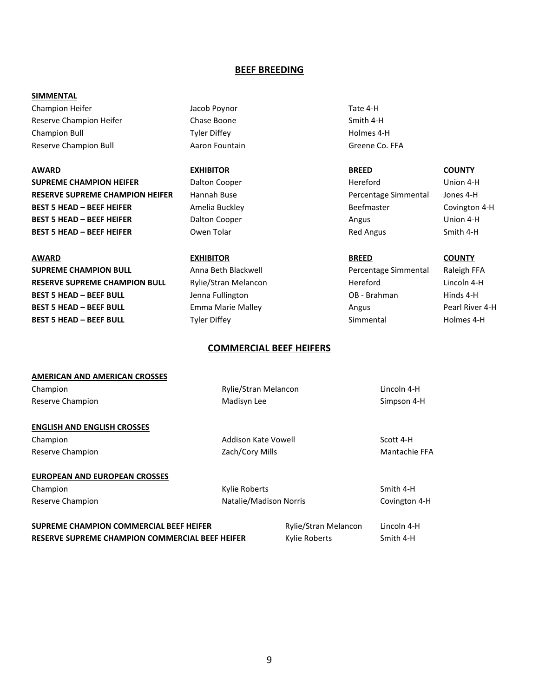#### **BEEF BREEDING**

#### **SIMMENTAL**

Champion Heifer **Champion Heifer** Jacob Poynor **Tate 4-H** Reserve Champion Heifer **Chase Boone** Chase Boone **Smith 4-H** Champion Bull Tyler Diffey Holmes 4-H Reserve Champion Bull **Aaron Fountain** Aaron Fountain Greene Co. FFA

**AWARD EXHIBITOR BREED COUNTY SUPREME CHAMPION HEIFER** Dalton Cooper **Concretive Hereford** Union 4-H **RESERVE SUPREME CHAMPION HEIFER** Hannah Buse **Percentage Simmental Jones 4-H** Percentage Simmental Jones 4-H **BEST 5 HEAD – BEEF HEIFER** Amelia Buckley **BEEF ALL AND EXAMPLE AREA** Covington 4-H **BEST 5 HEAD – BEEF HEIFER** Dalton Cooper Angus Angus Union 4-H **BEST 5 HEAD – BEEF HEIFER** Owen Tolar **Communist Communist Communist Communist Communist Communist Communist Communist Communist Communist Communist Communist Communist Communist Communist Communist Communist Communist Co** 

**SUPREME CHAMPION BULL** Anna Beth Blackwell **CHAMPION BULL** Anna Beth Blackwell **Percentage Simmental** Raleigh FFA **RESERVE SUPREME CHAMPION BULL** Rylie/Stran Melancon **Hereford** Hereford Lincoln 4-H **BEST 5 HEAD – BEEF BULL Lenna Fullington CB - Brahman** Hinds 4-H **BEST 5 HEAD – BEEF BULL** Emma Marie Malley **Angus** Angus Pearl River 4-H **BEST 5 HEAD – BEEF BULL** Tyler Diffey **Simmental** Simmental Holmes 4-H

#### **AWARD EXHIBITOR BREED COUNTY**

#### **COMMERCIAL BEEF HEIFERS**

| <b>AMERICAN AND AMERICAN CROSSES</b>                                                                     |                        |                                              |                          |
|----------------------------------------------------------------------------------------------------------|------------------------|----------------------------------------------|--------------------------|
| Champion                                                                                                 | Rylie/Stran Melancon   |                                              | Lincoln 4-H              |
| Reserve Champion                                                                                         | Madisyn Lee            |                                              | Simpson 4-H              |
| <b>ENGLISH AND ENGLISH CROSSES</b>                                                                       |                        |                                              |                          |
| Champion                                                                                                 | Addison Kate Vowell    |                                              | Scott 4-H                |
| Reserve Champion                                                                                         | Zach/Cory Mills        |                                              | Mantachie FFA            |
| <b>EUROPEAN AND EUROPEAN CROSSES</b>                                                                     |                        |                                              |                          |
| Champion                                                                                                 | Kylie Roberts          |                                              | Smith 4-H                |
| Reserve Champion                                                                                         | Natalie/Madison Norris |                                              | Covington 4-H            |
| <b>SUPREME CHAMPION COMMERCIAL BEEF HEIFER</b><br><b>RESERVE SUPREME CHAMPION COMMERCIAL BEEF HEIFER</b> |                        | <b>Rylie/Stran Melancon</b><br>Kylie Roberts | Lincoln 4-H<br>Smith 4-H |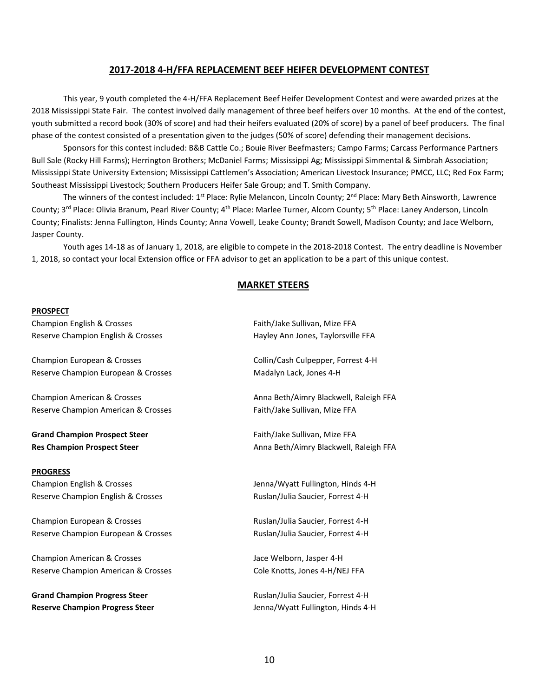#### **2017-2018 4-H/FFA REPLACEMENT BEEF HEIFER DEVELOPMENT CONTEST**

This year, 9 youth completed the 4-H/FFA Replacement Beef Heifer Development Contest and were awarded prizes at the 2018 Mississippi State Fair. The contest involved daily management of three beef heifers over 10 months. At the end of the contest, youth submitted a record book (30% of score) and had their heifers evaluated (20% of score) by a panel of beef producers. The final phase of the contest consisted of a presentation given to the judges (50% of score) defending their management decisions.

Sponsors for this contest included: B&B Cattle Co.; Bouie River Beefmasters; Campo Farms; Carcass Performance Partners Bull Sale (Rocky Hill Farms); Herrington Brothers; McDaniel Farms; Mississippi Ag; Mississippi Simmental & Simbrah Association; Mississippi State University Extension; Mississippi Cattlemen's Association; American Livestock Insurance; PMCC, LLC; Red Fox Farm; Southeast Mississippi Livestock; Southern Producers Heifer Sale Group; and T. Smith Company.

The winners of the contest included:  $1^{st}$  Place: Rylie Melancon, Lincoln County;  $2^{nd}$  Place: Mary Beth Ainsworth, Lawrence County; 3<sup>rd</sup> Place: Olivia Branum, Pearl River County; 4<sup>th</sup> Place: Marlee Turner, Alcorn County; 5<sup>th</sup> Place: Laney Anderson, Lincoln County; Finalists: Jenna Fullington, Hinds County; Anna Vowell, Leake County; Brandt Sowell, Madison County; and Jace Welborn, Jasper County.

Youth ages 14-18 as of January 1, 2018, are eligible to compete in the 2018-2018 Contest. The entry deadline is November 1, 2018, so contact your local Extension office or FFA advisor to get an application to be a part of this unique contest.

## **MARKET STEERS**

#### **PROSPECT**

Champion English & Crosses Faith/Jake Sullivan, Mize FFA Reserve Champion English & Crosses Hayley Ann Jones, Taylorsville FFA

Champion European & Crosses Collin/Cash Culpepper, Forrest 4-H Reserve Champion European & Crosses Madalyn Lack, Jones 4-H

Reserve Champion American & Crosses Faith/Jake Sullivan, Mize FFA

**Grand Champion Prospect Steer** Faith/Jake Sullivan, Mize FFA

#### **PROGRESS**

Champion English & Crosses The Champion English & Crosses Jenna/Wyatt Fullington, Hinds 4-H Reserve Champion English & Crosses Ruslan/Julia Saucier, Forrest 4-H

Champion European & Crosses Ruslan/Julia Saucier, Forrest 4-H Reserve Champion European & Crosses **Ruslan**/Julia Saucier, Forrest 4-H

Champion American & Crosses The Champion American & Crosses Action 1997 1998 1999 Jace Welborn, Jasper 4-H Reserve Champion American & Crosses Cole Knotts, Jones 4-H/NEJ FFA

**Grand Champion Progress Steer Ruslan/Julia Saucier, Forrest 4-H** Ruslan/Julia Saucier, Forrest 4-H **Reserve Champion Progress Steer Jenna/Wyatt Fullington, Hinds 4-H** 

Champion American & Crosses Anna Beth/Aimry Blackwell, Raleigh FFA

**Res Champion Prospect Steer** Anna Beth/Aimry Blackwell, Raleigh FFA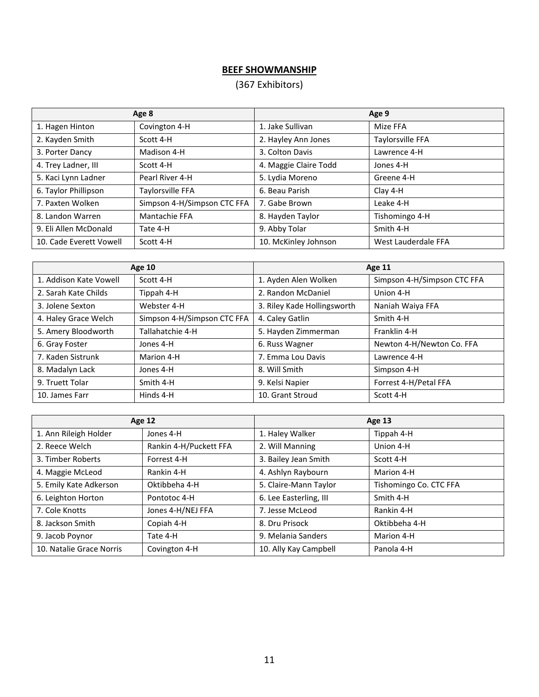# **BEEF SHOWMANSHIP**

# (367 Exhibitors)

| Age 8                   |                             | Age 9                 |                     |  |
|-------------------------|-----------------------------|-----------------------|---------------------|--|
| 1. Hagen Hinton         | Covington 4-H               | 1. Jake Sullivan      | Mize FFA            |  |
| 2. Kayden Smith         | Scott 4-H                   | 2. Hayley Ann Jones   | Taylorsville FFA    |  |
| 3. Porter Dancy         | Madison 4-H                 | 3. Colton Davis       | Lawrence 4-H        |  |
| 4. Trey Ladner, III     | Scott 4-H                   | 4. Maggie Claire Todd | Jones 4-H           |  |
| 5. Kaci Lynn Ladner     | Pearl River 4-H             | 5. Lydia Moreno       | Greene 4-H          |  |
| 6. Taylor Phillipson    | Taylorsville FFA            | 6. Beau Parish        | Clay 4-H            |  |
| 7. Paxten Wolken        | Simpson 4-H/Simpson CTC FFA | 7. Gabe Brown         | Leake 4-H           |  |
| 8. Landon Warren        | Mantachie FFA               | 8. Hayden Taylor      | Tishomingo 4-H      |  |
| 9. Eli Allen McDonald   | Tate 4-H                    | 9. Abby Tolar         | Smith 4-H           |  |
| 10. Cade Everett Vowell | Scott 4-H                   | 10. McKinley Johnson  | West Lauderdale FFA |  |

| <b>Age 10</b>          |                             | <b>Age 11</b>               |                             |  |
|------------------------|-----------------------------|-----------------------------|-----------------------------|--|
| 1. Addison Kate Vowell | Scott 4-H                   | 1. Ayden Alen Wolken        | Simpson 4-H/Simpson CTC FFA |  |
| 2. Sarah Kate Childs   | Tippah 4-H                  | 2. Randon McDaniel          | Union 4-H                   |  |
| 3. Jolene Sexton       | Webster 4-H                 | 3. Riley Kade Hollingsworth | Naniah Waiya FFA            |  |
| 4. Haley Grace Welch   | Simpson 4-H/Simpson CTC FFA | 4. Caley Gatlin             | Smith 4-H                   |  |
| 5. Amery Bloodworth    | Tallahatchie 4-H            | 5. Hayden Zimmerman         | Franklin 4-H                |  |
| 6. Gray Foster         | Jones 4-H                   | 6. Russ Wagner              | Newton 4-H/Newton Co. FFA   |  |
| 7. Kaden Sistrunk      | Marion 4-H                  | 7. Emma Lou Davis           | Lawrence 4-H                |  |
| 8. Madalyn Lack        | Jones 4-H                   | 8. Will Smith               | Simpson 4-H                 |  |
| 9. Truett Tolar        | Smith 4-H                   | 9. Kelsi Napier             | Forrest 4-H/Petal FFA       |  |
| 10. James Farr         | Hinds 4-H                   | 10. Grant Stroud            | Scott 4-H                   |  |

| <b>Age 12</b>            |                        | <b>Age 13</b>          |                        |  |
|--------------------------|------------------------|------------------------|------------------------|--|
| 1. Ann Rileigh Holder    | Jones 4-H              | 1. Haley Walker        | Tippah 4-H             |  |
| 2. Reece Welch           | Rankin 4-H/Puckett FFA | 2. Will Manning        | Union 4-H              |  |
| 3. Timber Roberts        | Forrest 4-H            | 3. Bailey Jean Smith   | Scott 4-H              |  |
| 4. Maggie McLeod         | Rankin 4-H             | 4. Ashlyn Raybourn     | Marion 4-H             |  |
| 5. Emily Kate Adkerson   | Oktibbeha 4-H          | 5. Claire-Mann Taylor  | Tishomingo Co. CTC FFA |  |
| 6. Leighton Horton       | Pontotoc 4-H           | 6. Lee Easterling, III | Smith 4-H              |  |
| 7. Cole Knotts           | Jones 4-H/NEJ FFA      | 7. Jesse McLeod        | Rankin 4-H             |  |
| 8. Jackson Smith         | Copiah 4-H             | 8. Dru Prisock         | Oktibbeha 4-H          |  |
| 9. Jacob Poynor          | Tate 4-H               | 9. Melania Sanders     | Marion 4-H             |  |
| 10. Natalie Grace Norris | Covington 4-H          | 10. Ally Kay Campbell  | Panola 4-H             |  |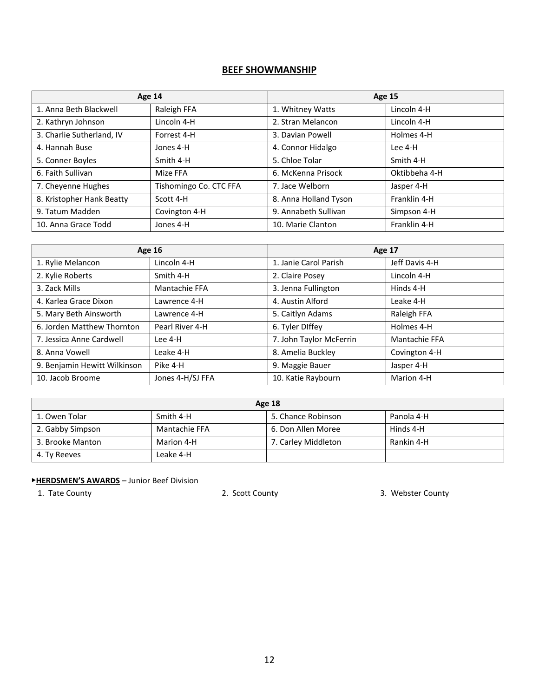# **BEEF SHOWMANSHIP**

| Age 14                    |                        | <b>Age 15</b>         |               |
|---------------------------|------------------------|-----------------------|---------------|
| 1. Anna Beth Blackwell    | Raleigh FFA            | 1. Whitney Watts      | Lincoln 4-H   |
| 2. Kathryn Johnson        | Lincoln 4-H            | 2. Stran Melancon     | Lincoln 4-H   |
| 3. Charlie Sutherland, IV | Forrest 4-H            | 3. Davian Powell      | Holmes 4-H    |
| 4. Hannah Buse            | Jones 4-H              | 4. Connor Hidalgo     | Lee 4-H       |
| 5. Conner Boyles          | Smith 4-H              | 5. Chloe Tolar        | Smith 4-H     |
| 6. Faith Sullivan         | Mize FFA               | 6. McKenna Prisock    | Oktibbeha 4-H |
| 7. Cheyenne Hughes        | Tishomingo Co. CTC FFA | 7. Jace Welborn       | Jasper 4-H    |
| 8. Kristopher Hank Beatty | Scott 4-H              | 8. Anna Holland Tyson | Franklin 4-H  |
| 9. Tatum Madden           | Covington 4-H          | 9. Annabeth Sullivan  | Simpson 4-H   |
| 10. Anna Grace Todd       | Jones 4-H              | 10. Marie Clanton     | Franklin 4-H  |

| <b>Age 16</b>                |                  | Age 17                  |                |
|------------------------------|------------------|-------------------------|----------------|
| 1. Rylie Melancon            | Lincoln 4-H      | 1. Janie Carol Parish   | Jeff Davis 4-H |
| 2. Kylie Roberts             | Smith 4-H        | 2. Claire Posey         | Lincoln 4-H    |
| 3. Zack Mills                | Mantachie FFA    | 3. Jenna Fullington     | Hinds 4-H      |
| 4. Karlea Grace Dixon        | Lawrence 4-H     | 4. Austin Alford        | Leake 4-H      |
| 5. Mary Beth Ainsworth       | Lawrence 4-H     | 5. Caitlyn Adams        | Raleigh FFA    |
| 6. Jorden Matthew Thornton   | Pearl River 4-H  | 6. Tyler DIffey         | Holmes 4-H     |
| 7. Jessica Anne Cardwell     | Lee 4-H          | 7. John Taylor McFerrin | Mantachie FFA  |
| 8. Anna Vowell               | Leake 4-H        | 8. Amelia Buckley       | Covington 4-H  |
| 9. Benjamin Hewitt Wilkinson | Pike 4-H         | 9. Maggie Bauer         | Jasper 4-H     |
| 10. Jacob Broome             | Jones 4-H/SJ FFA | 10. Katie Raybourn      | Marion 4-H     |

| <b>Age 18</b>    |               |                     |            |  |
|------------------|---------------|---------------------|------------|--|
| 1. Owen Tolar    | Smith 4-H     | 5. Chance Robinson  | Panola 4-H |  |
| 2. Gabby Simpson | Mantachie FFA | 6. Don Allen Moree  | Hinds 4-H  |  |
| 3. Brooke Manton | Marion 4-H    | 7. Carley Middleton | Rankin 4-H |  |
| 4. Ty Reeves     | Leake 4-H     |                     |            |  |

# ▶**HERDSMEN'S AWARDS** – Junior Beef Division

1. Tate County 2. Scott County 3. Webster County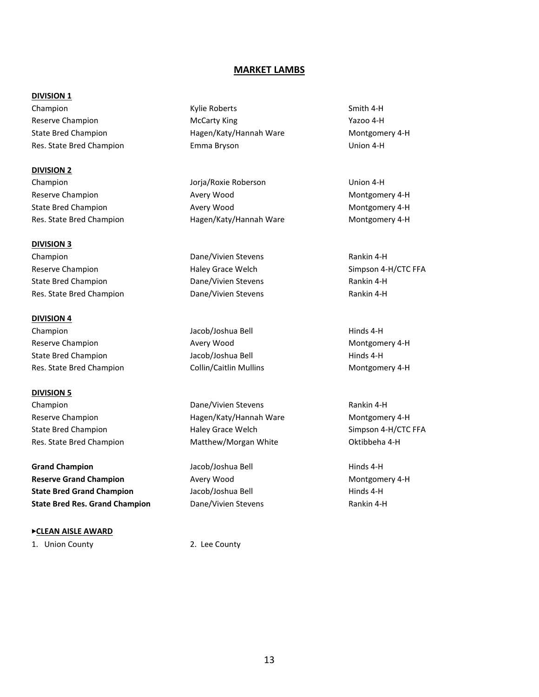#### **MARKET LAMBS**

#### **DIVISION 1**

Champion **Smith 4-H** Champion **Champion** Smith 4-H Reserve Champion **McCarty King McCarty King McCarty King McCarty Accommend** Mazoo 4-H State Bred Champion **Hagen/Katy/Hannah Ware** Montgomery 4-H Res. State Bred Champion Emma Bryson Union 4-H

**DIVISION 2** Champion Jorja/Roxie Roberson Union 4-H

**DIVISION 3** Champion Dane/Vivien Stevens Rankin 4-H

State Bred Champion **Dane/Vivien Stevens Rankin 4-H** Res. State Bred Champion **Dane/Vivien Stevens Rankin 4-H Rankin 4-H** 

**DIVISION 4** Champion Jacob/Joshua Bell Hinds 4-H Reserve Champion **Avery Wood** Avery Wood Montgomery 4-H State Bred Champion The State Bred Champion Champion Jacob/Joshua Bell The Hinds 4-H

**DIVISION 5**

**Grand Champion Grand Champion Grand Champion Hinds 4-H Reserve Grand Champion Avery Wood Avery Wood Montgomery 4-H State Bred Grand Champion** Jacob/Joshua Bell **Hinds 4-H** Hinds 4-H **State Bred Res. Grand Champion** Dane/Vivien Stevens **Rankin 4-H** Rankin 4-H

▶**CLEAN AISLE AWARD**

1. Union County 2. Lee County

Reserve Champion **Avery Wood** Avery Wood Montgomery 4-H State Bred Champion **Avery Wood** Avery Wood Montgomery 4-H Res. State Bred Champion **Hagen/Katy/Hannah Ware** Montgomery 4-H

Reserve Champion **Reserve Champion** Haley Grace Welch Simpson 4-H/CTC FFA

Res. State Bred Champion **Collin/Caitlin Mullins** Montgomery 4-H

Champion Dane/Vivien Stevens Rankin 4-H Reserve Champion The Reserve Champion Champion Hagen/Katy/Hannah Ware Montgomery 4-H State Bred Champion **State Bred Champion** Haley Grace Welch Simpson 4-H/CTC FFA Res. State Bred Champion **Matthew/Morgan White Matthew** Morgan White **Champion** 8-H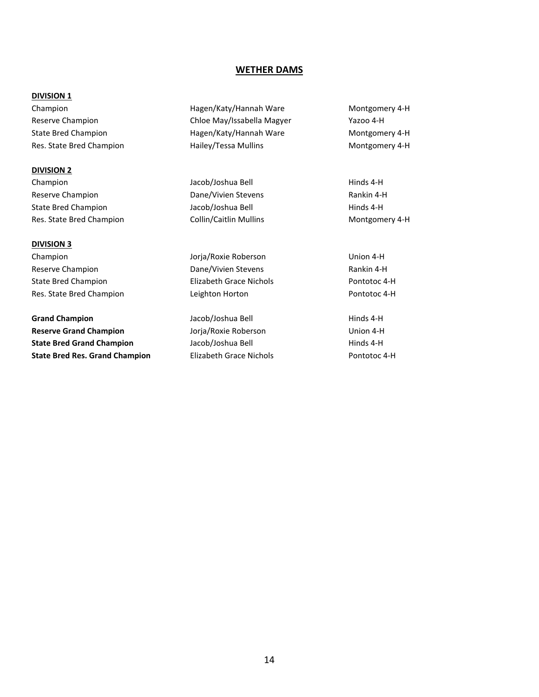#### **WETHER DAMS**

#### **DIVISION 1**

Champion Hagen/Katy/Hannah Ware Montgomery 4-H Reserve Champion Chloe May/Issabella Magyer Yazoo 4-H State Bred Champion **Hagen/Katy/Hannah Ware** Montgomery 4-H Res. State Bred Champion **Hailey/Tessa Mullins** Montgomery 4-H **DIVISION 2** Champion Jacob/Joshua Bell Hinds 4-H Reserve Champion **Reserve Champion** Dane/Vivien Stevens **Rankin 4-H** State Bred Champion **Mathems** Jacob/Joshua Bell **Hinds 4-H** Hinds 4-H Res. State Bred Champion Collin/Caitlin Mullins Montgomery 4-H **DIVISION 3** Champion Jorja/Roxie Roberson Union 4-H Reserve Champion **Reserve Champion** Dane/Vivien Stevens **Rankin 4-H** State Bred Champion Elizabeth Grace Nichols Pontotoc 4-H Res. State Bred Champion Leighton Horton Pontotoc 4-H **Grand Champion Grand Champion Jacob/Joshua Bell Hinds 4-H Hinds 4-H Reserve Grand Champion Matter of America Additional Additional Addition 4-H** Union 4-H **State Bred Grand Champion** Jacob/Joshua Bell **Hinds 4-H** Hinds 4-H

**State Bred Res. Grand Champion** Elizabeth Grace Nichols **Elizabeth Crace Nichols** Pontotoc 4-H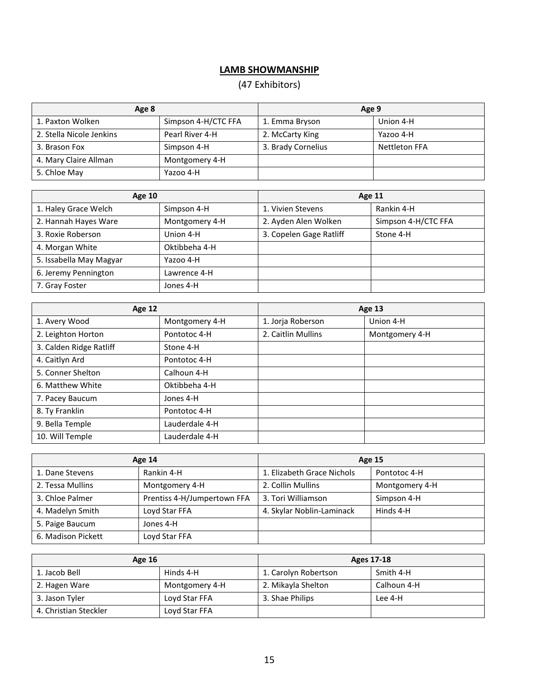# **LAMB SHOWMANSHIP**

# (47 Exhibitors)

| Age 8                    |                     | Age 9              |                      |  |
|--------------------------|---------------------|--------------------|----------------------|--|
| 1. Paxton Wolken         | Simpson 4-H/CTC FFA | 1. Emma Bryson     | Union 4-H            |  |
| 2. Stella Nicole Jenkins | Pearl River 4-H     | 2. McCarty King    | Yazoo 4-H            |  |
| 3. Brason Fox            | Simpson 4-H         | 3. Brady Cornelius | <b>Nettleton FFA</b> |  |
| 4. Mary Claire Allman    | Montgomery 4-H      |                    |                      |  |
| 5. Chloe May             | Yazoo 4-H           |                    |                      |  |

| <b>Age 10</b>           |                | <b>Age 11</b>           |                     |  |
|-------------------------|----------------|-------------------------|---------------------|--|
| 1. Haley Grace Welch    | Simpson 4-H    | 1. Vivien Stevens       | Rankin 4-H          |  |
| 2. Hannah Hayes Ware    | Montgomery 4-H | 2. Ayden Alen Wolken    | Simpson 4-H/CTC FFA |  |
| 3. Roxie Roberson       | Union 4-H      | 3. Copelen Gage Ratliff | Stone 4-H           |  |
| 4. Morgan White         | Oktibbeha 4-H  |                         |                     |  |
| 5. Issabella May Magyar | Yazoo 4-H      |                         |                     |  |
| 6. Jeremy Pennington    | Lawrence 4-H   |                         |                     |  |
| 7. Gray Foster          | Jones 4-H      |                         |                     |  |

| <b>Age 12</b>           |                | <b>Age 13</b>      |                |
|-------------------------|----------------|--------------------|----------------|
| 1. Avery Wood           | Montgomery 4-H | 1. Jorja Roberson  | Union 4-H      |
| 2. Leighton Horton      | Pontotoc 4-H   | 2. Caitlin Mullins | Montgomery 4-H |
| 3. Calden Ridge Ratliff | Stone 4-H      |                    |                |
| 4. Caitlyn Ard          | Pontotoc 4-H   |                    |                |
| 5. Conner Shelton       | Calhoun 4-H    |                    |                |
| 6. Matthew White        | Oktibbeha 4-H  |                    |                |
| 7. Pacey Baucum         | Jones 4-H      |                    |                |
| 8. Ty Franklin          | Pontotoc 4-H   |                    |                |
| 9. Bella Temple         | Lauderdale 4-H |                    |                |
| 10. Will Temple         | Lauderdale 4-H |                    |                |

| Age 14             |                             | <b>Age 15</b>              |                |
|--------------------|-----------------------------|----------------------------|----------------|
| 1. Dane Stevens    | Rankin 4-H                  | 1. Elizabeth Grace Nichols | Pontotoc 4-H   |
| 2. Tessa Mullins   | Montgomery 4-H              | 2. Collin Mullins          | Montgomery 4-H |
| 3. Chloe Palmer    | Prentiss 4-H/Jumpertown FFA | 3. Tori Williamson         | Simpson 4-H    |
| 4. Madelyn Smith   | Loyd Star FFA               | 4. Skylar Noblin-Laminack  | Hinds 4-H      |
| 5. Paige Baucum    | Jones 4-H                   |                            |                |
| 6. Madison Pickett | Loyd Star FFA               |                            |                |

| <b>Age 16</b>         |                | Ages 17-18           |             |
|-----------------------|----------------|----------------------|-------------|
| 1. Jacob Bell         | Hinds 4-H      | 1. Carolyn Robertson | Smith 4-H   |
| 2. Hagen Ware         | Montgomery 4-H | 2. Mikayla Shelton   | Calhoun 4-H |
| 3. Jason Tyler        | Loyd Star FFA  | 3. Shae Philips      | Lee 4-H     |
| 4. Christian Steckler | Loyd Star FFA  |                      |             |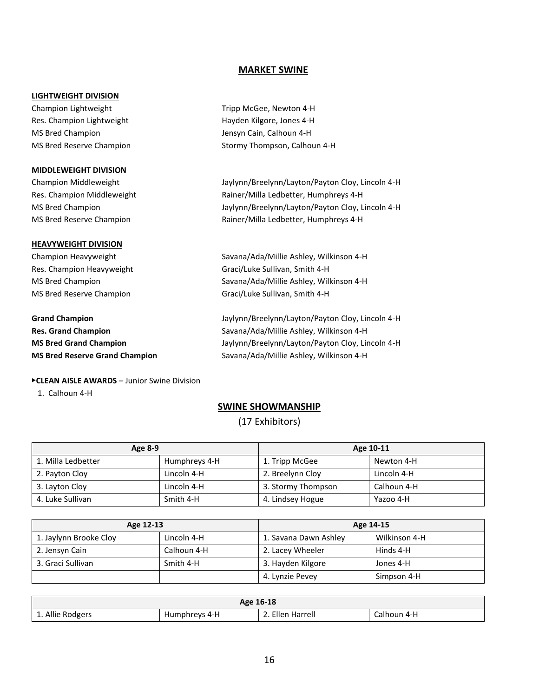#### **MARKET SWINE**

#### **LIGHTWEIGHT DIVISION**

Champion Lightweight Tripp McGee, Newton 4-H Res. Champion Lightweight **Hayden Kilgore, Jones 4-H** MS Bred Champion **MS Bred Champion** Jensyn Cain, Calhoun 4-H

#### **MIDDLEWEIGHT DIVISION**

#### **HEAVYWEIGHT DIVISION**

#### ▶**CLEAN AISLE AWARDS** – Junior Swine Division

1. Calhoun 4-H

MS Bred Reserve Champion Stormy Thompson, Calhoun 4-H

Champion Middleweight Jaylynn/Breelynn/Layton/Payton Cloy, Lincoln 4-H Res. Champion Middleweight **Rainer/Milla Ledbetter, Humphreys 4-H** MS Bred Champion Jaylynn/Breelynn/Layton/Payton Cloy, Lincoln 4-H MS Bred Reserve Champion Rainer/Milla Ledbetter, Humphreys 4-H

Champion Heavyweight Savana/Ada/Millie Ashley, Wilkinson 4-H Res. Champion Heavyweight Graci/Luke Sullivan, Smith 4-H MS Bred Champion Savana/Ada/Millie Ashley, Wilkinson 4-H MS Bred Reserve Champion Graci/Luke Sullivan, Smith 4-H

**Grand Champion** Jaylynn/Breelynn/Layton/Payton Cloy, Lincoln 4-H **Res. Grand Champion** Savana/Ada/Millie Ashley, Wilkinson 4-H **MS Bred Grand Champion** Jaylynn/Breelynn/Layton/Payton Cloy, Lincoln 4-H **MS Bred Reserve Grand Champion** Savana/Ada/Millie Ashley, Wilkinson 4-H

#### **SWINE SHOWMANSHIP**

(17 Exhibitors)

| Age 8-9            |               | Age 10-11          |             |
|--------------------|---------------|--------------------|-------------|
| 1. Milla Ledbetter | Humphreys 4-H | 1. Tripp McGee     | Newton 4-H  |
| 2. Payton Cloy     | Lincoln 4-H   | 2. Breelynn Cloy   | Lincoln 4-H |
| 3. Layton Cloy     | Lincoln 4-H   | 3. Stormy Thompson | Calhoun 4-H |
| 4. Luke Sullivan   | Smith 4-H     | 4. Lindsey Hogue   | Yazoo 4-H   |

| Age 12-13              |             | Age 14-15             |               |
|------------------------|-------------|-----------------------|---------------|
| 1. Jaylynn Brooke Cloy | Lincoln 4-H | 1. Savana Dawn Ashley | Wilkinson 4-H |
| 2. Jensyn Cain         | Calhoun 4-H | 2. Lacey Wheeler      | Hinds 4-H     |
| 3. Graci Sullivan      | Smith 4-H   | 3. Hayden Kilgore     | Jones 4-H     |
|                        |             | 4. Lynzie Pevey       | Simpson 4-H   |

| Age 16-18        |               |                  |             |  |
|------------------|---------------|------------------|-------------|--|
| L. Allie Rodgers | Humphreys 4-H | 2. Ellen Harrell | Calhoun 4-H |  |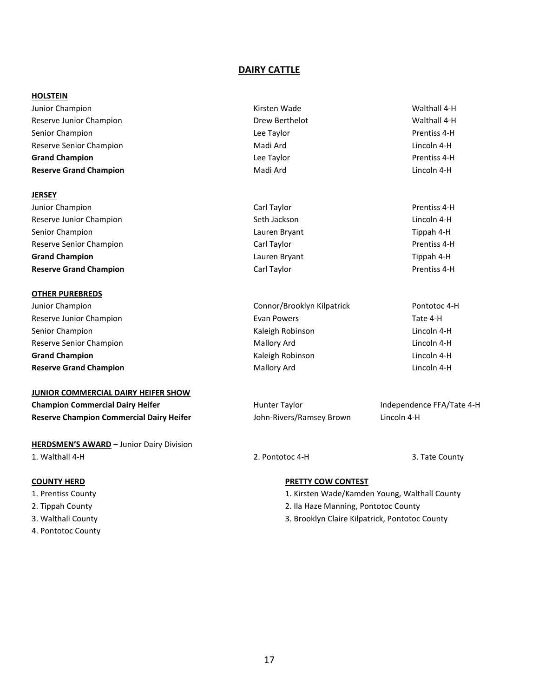#### **DAIRY CATTLE**

#### **HOLSTEIN**

#### **JERSEY**

#### **OTHER PUREBREDS**

Junior Champion Connor/Brooklyn Kilpatrick Pontotoc 4-H

#### **JUNIOR COMMERCIAL DAIRY HEIFER SHOW**

| <b>Champion Commercial Dairy Heifer</b>         |  |
|-------------------------------------------------|--|
| <b>Reserve Champion Commercial Dairy Heifer</b> |  |

**HERDSMEN'S AWARD** – Junior Dairy Division 1. Walthall 4-H 2. Pontotoc 4-H 3. Tate County

- 
- 
- 
- 4. Pontotoc County
- Junior Champion Kirsten Wade Walthall 4-H Reserve Junior Champion **National Champion** Drew Berthelot **Drew Berthelot** Walthall 4-H Senior Champion **Senior Champion** Champion **Lee Taylor Champion Prentiss 4-H** Reserve Senior Champion and Communication Madi Ard Madi Ard Lincoln 4-H **Grand Champion Champion Constanting Constanting Lee Taylor Constanting Constanting Prentiss 4-H Reserve Grand Champion Champion Champion Madi Ard Madi Ard Lincoln 4-H** Lincoln 4-H
- Junior Champion **Carl Taylor** Carl Taylor Carl Taylor **Carl Taylor** Prentiss 4-H Reserve Junior Champion **Seth Jackson** Seth Jackson Seth Jackson Seth Jackson Lincoln 4-H Senior Champion Lauren Bryant Tippah 4-H Reserve Senior Champion and Carl Taylor Carl Taylor Carl Taylor Carl Taylor Prentiss 4-H **Grand Champion** Lauren Bryant Tippah 4-H **Reserve Grand Champion Carl Taylor** Carl Taylor **Carl Taylor Prentiss 4-H**
- Reserve Junior Champion **Evan Powers** Evan Powers **Tate 4-H** Tate 4-H Senior Champion **Kaleigh Robinson** Kaleigh Robinson **Lincoln 4-H** Company Company Lincoln 4-H Reserve Senior Champion **Mallory Ard Mallory Ard Lincoln 4-H** Lincoln 4-H **Grand Champion Champion Champion Champion Champion Champion Champion Champion Champion Champion Champion Champion Champion Champion Champion Champion Champion Champion Champion Champi Reserve Grand Champion Mallory Ard Mallory Ard Lincoln 4-H**

**Commercial Taylor Commercial Dairy Commercial Dairy Hunter Taylor Independence FFA/Tate 4-H Reserve Champion Commercial Dairy Heifer** John-Rivers/Ramsey Brown Lincoln 4-H

#### **COUNTY HERD PRETTY COW CONTEST**

- 1. Prentiss County 1. Kirsten Wade/Kamden Young, Walthall County
- 2. Tippah County 2. Ila Haze Manning, Pontotoc County
- 3. Walthall County 3. Brooklyn Claire Kilpatrick, Pontotoc County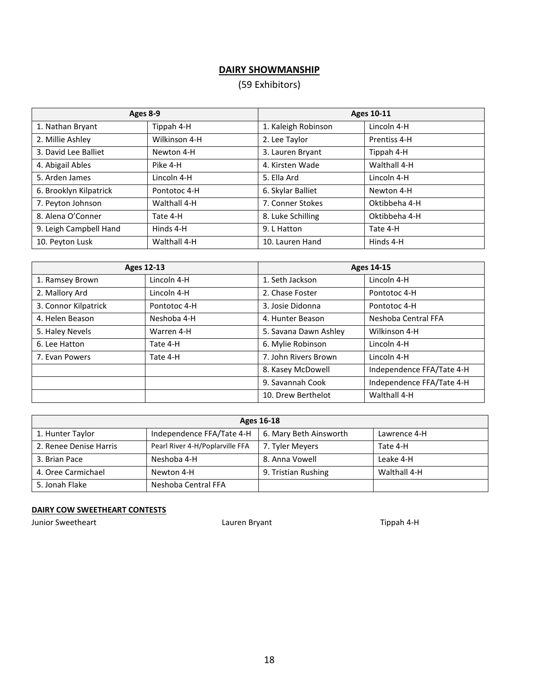# **DAIRY SHOWMANSHIP**

# (59 Exhibitors)

| Ages 8-9               |               | <b>Ages 10-11</b>   |               |
|------------------------|---------------|---------------------|---------------|
| 1. Nathan Bryant       | Tippah 4-H    | 1. Kaleigh Robinson | Lincoln 4-H   |
| 2. Millie Ashley       | Wilkinson 4-H | 2. Lee Taylor       | Prentiss 4-H  |
| 3. David Lee Balliet   | Newton 4-H    | 3. Lauren Bryant    | Tippah 4-H    |
| 4. Abigail Ables       | Pike 4-H      | 4. Kirsten Wade     | Walthall 4-H  |
| 5. Arden James         | Lincoln 4-H   | 5. Ella Ard         | Lincoln 4-H   |
| 6. Brooklyn Kilpatrick | Pontotoc 4-H  | 6. Skylar Balliet   | Newton 4-H    |
| 7. Peyton Johnson      | Walthall 4-H  | 7. Conner Stokes    | Oktibbeha 4-H |
| 8. Alena O'Conner      | Tate 4-H      | 8. Luke Schilling   | Oktibbeha 4-H |
| 9. Leigh Campbell Hand | Hinds 4-H     | 9. L Hatton         | Tate 4-H      |
| 10. Peyton Lusk        | Walthall 4-H  | 10. Lauren Hand     | Hinds 4-H     |

|                      | <b>Ages 12-13</b> |                       | Ages 14-15                |
|----------------------|-------------------|-----------------------|---------------------------|
| 1. Ramsey Brown      | Lincoln 4-H       | 1. Seth Jackson       | Lincoln 4-H               |
| 2. Mallory Ard       | Lincoln 4-H       | 2. Chase Foster       | Pontotoc 4-H              |
| 3. Connor Kilpatrick | Pontotoc 4-H      | 3. Josie Didonna      | Pontotoc 4-H              |
| 4. Helen Beason      | Neshoba 4-H       | 4. Hunter Beason      | Neshoba Central FFA       |
| 5. Haley Nevels      | Warren 4-H        | 5. Savana Dawn Ashley | Wilkinson 4-H             |
| 6. Lee Hatton        | Tate 4-H          | 6. Mylie Robinson     | Lincoln 4-H               |
| 7. Evan Powers       | Tate 4-H          | 7. John Rivers Brown  | Lincoln 4-H               |
|                      |                   | 8. Kasey McDowell     | Independence FFA/Tate 4-H |
|                      |                   | 9. Savannah Cook      | Independence FFA/Tate 4-H |
|                      |                   | 10. Drew Berthelot    | Walthall 4-H              |

| Ages 16-18             |                                 |                        |              |
|------------------------|---------------------------------|------------------------|--------------|
| 1. Hunter Taylor       | Independence FFA/Tate 4-H       | 6. Mary Beth Ainsworth | Lawrence 4-H |
| 2. Renee Denise Harris | Pearl River 4-H/Poplarville FFA | 7. Tyler Meyers        | Tate 4-H     |
| 3. Brian Pace          | Neshoba 4-H                     | 8. Anna Vowell         | Leake 4-H    |
| 4. Oree Carmichael     | Newton 4-H                      | 9. Tristian Rushing    | Walthall 4-H |
| 5. Jonah Flake         | Neshoba Central FFA             |                        |              |

#### **DAIRY COW SWEETHEART CONTESTS**

Junior Sweetheart **Lauren Bryant** Lauren Bryant Christian Material Active Report Act Material Act Materia and Tippah 4-H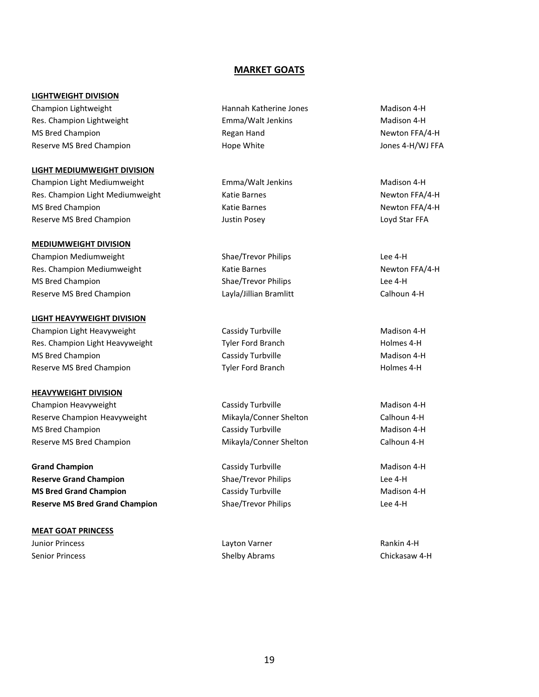#### **MARKET GOATS**

#### **LIGHTWEIGHT DIVISION**

Champion Lightweight **Hannah Katherine Jones** Madison 4-H Res. Champion Lightweight **Emma/Walt Jenkins** Emma/Walt Jenkins Madison 4-H MS Bred Champion **Regan Hand** Regan Hand Newton FFA/4-H Reserve MS Bred Champion **Hope White** Hope White Hope White Assessment Design Assessment Design Assessment Design

#### **LIGHT MEDIUMWEIGHT DIVISION**

Champion Light Mediumweight **Emma/Walt Jenkins** Emma/Walt Jenkins Madison 4-H Res. Champion Light Mediumweight **Katie Barnes** Katie Barnes Newton FFA/4-H MS Bred Champion **MS Bred Champion Katie Barnes** Katie Barnes Newton FFA/4-H Reserve MS Bred Champion The Champion Control of the Unit of Austin Posey The Server Control of Loyd Star FFA

#### **MEDIUMWEIGHT DIVISION**

Champion Mediumweight Shae/Trevor Philips Lee 4-H Res. Champion Mediumweight Newton FFA/4-H Katie Barnes Newton FFA/4-H Newton FFA/4-H MS Bred Champion **Shae/Trevor Philips** Lee 4-H Reserve MS Bred Champion **Layla** Layla and Layla and Bramlitt Calhoun 4-H

#### **LIGHT HEAVYWEIGHT DIVISION**

Champion Light Heavyweight Cassidy Turbville Champion Light Heavyweight Cassidy Turbville Res. Champion Light Heavyweight Tyler Ford Branch Tyler Ford Branch Holmes 4-H MS Bred Champion **Matism Cassidy Turbville** Madison 4-H Reserve MS Bred Champion **National Champion** Tyler Ford Branch National Branch Holmes 4-H

#### **HEAVYWEIGHT DIVISION**

Champion Heavyweight **Cassidy Turbville** Cassidy Turbville Madison 4-H Reserve Champion Heavyweight Mikayla/Conner Shelton Calhoun 4-H MS Bred Champion **Mathematic Cassidy Turbville** Madison 4-H Reserve MS Bred Champion The Calloun A-H Mikayla/Conner Shelton Theorem Calhoun 4-H

**Grand Champion Cassidy Turbville Cassidy Turbville** Madison 4-H **Reserve Grand Champion Shae/Trevor Philips Lee 4-H MS Bred Grand Champion Madison 4-H** Cassidy Turbville Madison 4-H **Reserve MS Bred Grand Champion** Shae/Trevor Philips Lee 4-H

#### **MEAT GOAT PRINCESS** Junior Princess Layton Varner Rankin 4-H

Senior Princess Shelby Abrams Chickasaw 4-H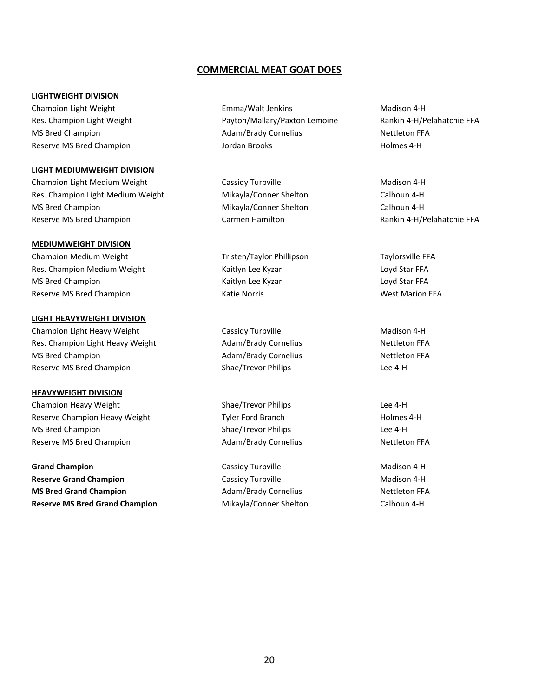#### **COMMERCIAL MEAT GOAT DOES**

#### **LIGHTWEIGHT DIVISION**

#### **LIGHT MEDIUMWEIGHT DIVISION**

Champion Light Medium Weight **Cassidy Turbville** Champion Light Madison 4-H Res. Champion Light Medium Weight Microsoft Mikayla/Conner Shelton Calhoun 4-H MS Bred Champion **Mikayla** Mikayla Conner Shelton Calhoun 4-H Reserve MS Bred Champion The Carmen Hamilton Carmen Hamilton Rankin 4-H/Pelahatchie FFA

#### **MEDIUMWEIGHT DIVISION**

Champion Medium Weight Tristen/Taylor Phillipson Taylorsville FFA Res. Champion Medium Weight **Kaitlyn Lee Kyzar** Kaitlyn Lee Kyzar Kaitlyn Lee Kyzar Loyd Star FFA MS Bred Champion **Kaitlyn Lee Kyzar** Kaitlyn Lee Kyzar Kaitlyn Lee Kyzar Kaitlyn Lee Kyzar Kaitlyn Lee Kyzar Kaitlyn Lee Kyzar Kaitlyn Lee Kyzar Kaitlyn Lee Kyzar Kaitlyn Lee Kyzar Kaitlyn Lee Kyzar Kaitlyn Lee Kyzar Kaitl Reserve MS Bred Champion The Champion Case of Marion Katie Norris Theorem and Mest Marion FFA

#### **LIGHT HEAVYWEIGHT DIVISION**

Champion Light Heavy Weight Cassidy Turbville Champion Light Heavy Weight Cassidy Turbville Res. Champion Light Heavy Weight **Adam/Brady Cornelius** Adam/Brady Cornelius Nettleton FFA MS Bred Champion **Adam/Brady Cornelius** Adam/Brady Cornelius Nettleton FFA Reserve MS Bred Champion The Shae/Trevor Philips Changes are the 4-H

#### **HEAVYWEIGHT DIVISION**

Champion Heavy Weight Shae/Trevor Philips Lee 4-H Reserve Champion Heavy Weight Tyler Ford Branch Tyler Ford Branch Holmes 4-H MS Bred Champion **Shae/Trevor Philips** Shae/Trevor Philips Lee 4-H Reserve MS Bred Champion The Champion Adam/Brady Cornelius Nettleton FFA

**Grand Champion Cassidy Turbville Cassidy Turbville** Madison 4-H **Reserve Grand Champion Cassidy Turbville Madison 4-H** Cassidy Turbville **MS Bred Grand Champion Adam/Brady Cornelius** And Cornelius Nettleton FFA **Reserve MS Bred Grand Champion** Mikayla/Conner Shelton Calhoun 4-H

Champion Light Weight Emma/Walt Jenkins Madison 4-H Res. Champion Light Weight **Payton/Mallary/Paxton Lemoine** Rankin 4-H/Pelahatchie FFA MS Bred Champion **Adam/Brady Cornelius** Adam/Brady Cornelius Nettleton FFA Reserve MS Bred Champion **Matter and Accord Accord Accord Accord Accord Accord Accord Accord Accord Accord Accord Accord Accord Accord Accord Accord Accord Accord Accord Accord Accord Accord Accord Accord Accord Accord Acc**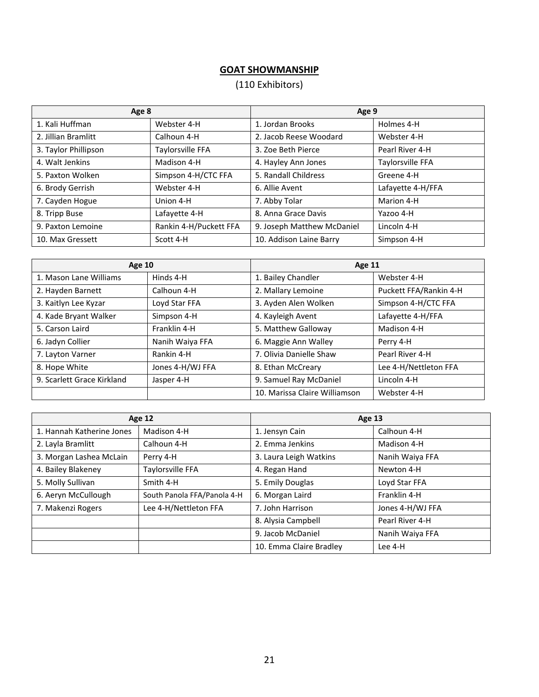# **GOAT SHOWMANSHIP**

# (110 Exhibitors)

| Age 8                |                        | Age 9                      |                   |
|----------------------|------------------------|----------------------------|-------------------|
| 1. Kali Huffman      | Webster 4-H            | 1. Jordan Brooks           | Holmes 4-H        |
| 2. Jillian Bramlitt  | Calhoun 4-H            | 2. Jacob Reese Woodard     | Webster 4-H       |
| 3. Taylor Phillipson | Taylorsville FFA       | 3. Zoe Beth Pierce         | Pearl River 4-H   |
| 4. Walt Jenkins      | Madison 4-H            | 4. Hayley Ann Jones        | Taylorsville FFA  |
| 5. Paxton Wolken     | Simpson 4-H/CTC FFA    | 5. Randall Childress       | Greene 4-H        |
| 6. Brody Gerrish     | Webster 4-H            | 6. Allie Avent             | Lafayette 4-H/FFA |
| 7. Cayden Hogue      | Union 4-H              | 7. Abby Tolar              | Marion 4-H        |
| 8. Tripp Buse        | Lafayette 4-H          | 8. Anna Grace Davis        | Yazoo 4-H         |
| 9. Paxton Lemoine    | Rankin 4-H/Puckett FFA | 9. Joseph Matthew McDaniel | Lincoln 4-H       |
| 10. Max Gressett     | Scott 4-H              | 10. Addison Laine Barry    | Simpson 4-H       |

| <b>Age 10</b>              |                  | Age 11                        |                        |
|----------------------------|------------------|-------------------------------|------------------------|
| 1. Mason Lane Williams     | Hinds 4-H        | 1. Bailey Chandler            | Webster 4-H            |
| 2. Hayden Barnett          | Calhoun 4-H      | 2. Mallary Lemoine            | Puckett FFA/Rankin 4-H |
| 3. Kaitlyn Lee Kyzar       | Loyd Star FFA    | 3. Ayden Alen Wolken          | Simpson 4-H/CTC FFA    |
| 4. Kade Bryant Walker      | Simpson 4-H      | 4. Kayleigh Avent             | Lafayette 4-H/FFA      |
| 5. Carson Laird            | Franklin 4-H     | 5. Matthew Galloway           | Madison 4-H            |
| 6. Jadyn Collier           | Nanih Waiya FFA  | 6. Maggie Ann Walley          | Perry 4-H              |
| 7. Layton Varner           | Rankin 4-H       | 7. Olivia Danielle Shaw       | Pearl River 4-H        |
| 8. Hope White              | Jones 4-H/WJ FFA | 8. Ethan McCreary             | Lee 4-H/Nettleton FFA  |
| 9. Scarlett Grace Kirkland | Jasper 4-H       | 9. Samuel Ray McDaniel        | Lincoln 4-H            |
|                            |                  | 10. Marissa Claire Williamson | Webster 4-H            |

|                           | <b>Age 12</b>               | Age 13                  |                  |
|---------------------------|-----------------------------|-------------------------|------------------|
| 1. Hannah Katherine Jones | Madison 4-H                 | 1. Jensyn Cain          | Calhoun 4-H      |
| 2. Layla Bramlitt         | Calhoun 4-H                 | 2. Emma Jenkins         | Madison 4-H      |
| 3. Morgan Lashea McLain   | Perry 4-H                   | 3. Laura Leigh Watkins  | Nanih Waiya FFA  |
| 4. Bailey Blakeney        | Taylorsville FFA            | 4. Regan Hand           | Newton 4-H       |
| 5. Molly Sullivan         | Smith 4-H                   | 5. Emily Douglas        | Loyd Star FFA    |
| 6. Aeryn McCullough       | South Panola FFA/Panola 4-H | 6. Morgan Laird         | Franklin 4-H     |
| 7. Makenzi Rogers         | Lee 4-H/Nettleton FFA       | 7. John Harrison        | Jones 4-H/WJ FFA |
|                           |                             | 8. Alysia Campbell      | Pearl River 4-H  |
|                           |                             | 9. Jacob McDaniel       | Nanih Waiya FFA  |
|                           |                             | 10. Emma Claire Bradley | Lee 4-H          |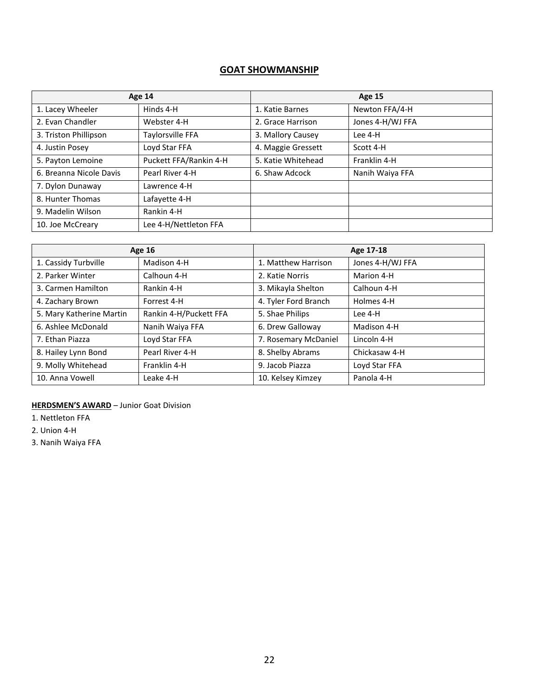# **GOAT SHOWMANSHIP**

|                         | Age 14                 |                    | <b>Age 15</b>    |
|-------------------------|------------------------|--------------------|------------------|
| 1. Lacey Wheeler        | Hinds 4-H              | 1. Katie Barnes    | Newton FFA/4-H   |
| 2. Evan Chandler        | Webster 4-H            | 2. Grace Harrison  | Jones 4-H/WJ FFA |
| 3. Triston Phillipson   | Taylorsville FFA       | 3. Mallory Causey  | Lee 4-H          |
| 4. Justin Posey         | Loyd Star FFA          | 4. Maggie Gressett | Scott 4-H        |
| 5. Payton Lemoine       | Puckett FFA/Rankin 4-H | 5. Katie Whitehead | Franklin 4-H     |
| 6. Breanna Nicole Davis | Pearl River 4-H        | 6. Shaw Adcock     | Nanih Waiya FFA  |
| 7. Dylon Dunaway        | Lawrence 4-H           |                    |                  |
| 8. Hunter Thomas        | Lafayette 4-H          |                    |                  |
| 9. Madelin Wilson       | Rankin 4-H             |                    |                  |
| 10. Joe McCreary        | Lee 4-H/Nettleton FFA  |                    |                  |

|                          | <b>Age 16</b>          |                      | Age 17-18        |
|--------------------------|------------------------|----------------------|------------------|
| 1. Cassidy Turbville     | Madison 4-H            | 1. Matthew Harrison  | Jones 4-H/WJ FFA |
| 2. Parker Winter         | Calhoun 4-H            | 2. Katie Norris      | Marion 4-H       |
| 3. Carmen Hamilton       | Rankin 4-H             | 3. Mikayla Shelton   | Calhoun 4-H      |
| 4. Zachary Brown         | Forrest 4-H            | 4. Tyler Ford Branch | Holmes 4-H       |
| 5. Mary Katherine Martin | Rankin 4-H/Puckett FFA | 5. Shae Philips      | Lee 4-H          |
| 6. Ashlee McDonald       | Nanih Waiya FFA        | 6. Drew Galloway     | Madison 4-H      |
| 7. Ethan Piazza          | Loyd Star FFA          | 7. Rosemary McDaniel | Lincoln 4-H      |
| 8. Hailey Lynn Bond      | Pearl River 4-H        | 8. Shelby Abrams     | Chickasaw 4-H    |
| 9. Molly Whitehead       | Franklin 4-H           | 9. Jacob Piazza      | Loyd Star FFA    |
| 10. Anna Vowell          | Leake 4-H              | 10. Kelsey Kimzey    | Panola 4-H       |

**HERDSMEN'S AWARD** – Junior Goat Division

1. Nettleton FFA

2. Union 4-H

3. Nanih Waiya FFA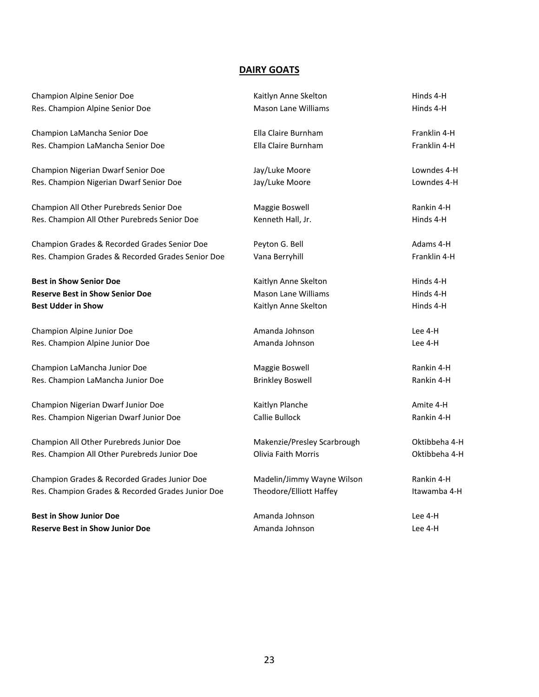# **DAIRY GOATS**

| Champion Alpine Senior Doe                        | Kaitlyn Anne Skelton        | Hinds 4-H     |  |
|---------------------------------------------------|-----------------------------|---------------|--|
| Res. Champion Alpine Senior Doe                   | <b>Mason Lane Williams</b>  | Hinds 4-H     |  |
| Champion LaMancha Senior Doe                      | Ella Claire Burnham         | Franklin 4-H  |  |
| Res. Champion LaMancha Senior Doe                 | Ella Claire Burnham         | Franklin 4-H  |  |
| Champion Nigerian Dwarf Senior Doe                | Jay/Luke Moore              | Lowndes 4-H   |  |
| Res. Champion Nigerian Dwarf Senior Doe           | Jay/Luke Moore              | Lowndes 4-H   |  |
| Champion All Other Purebreds Senior Doe           | Maggie Boswell              | Rankin 4-H    |  |
| Res. Champion All Other Purebreds Senior Doe      | Kenneth Hall, Jr.           | Hinds 4-H     |  |
| Champion Grades & Recorded Grades Senior Doe      | Peyton G. Bell              | Adams 4-H     |  |
| Res. Champion Grades & Recorded Grades Senior Doe | Vana Berryhill              | Franklin 4-H  |  |
| <b>Best in Show Senior Doe</b>                    | Kaitlyn Anne Skelton        | Hinds 4-H     |  |
| <b>Reserve Best in Show Senior Doe</b>            | <b>Mason Lane Williams</b>  | Hinds 4-H     |  |
| <b>Best Udder in Show</b>                         | Kaitlyn Anne Skelton        | Hinds 4-H     |  |
| Champion Alpine Junior Doe                        | Amanda Johnson              | Lee 4-H       |  |
| Res. Champion Alpine Junior Doe                   | Amanda Johnson              | Lee 4-H       |  |
| Champion LaMancha Junior Doe                      | Maggie Boswell              | Rankin 4-H    |  |
| Res. Champion LaMancha Junior Doe                 | <b>Brinkley Boswell</b>     | Rankin 4-H    |  |
| Champion Nigerian Dwarf Junior Doe                | Kaitlyn Planche             | Amite 4-H     |  |
| Res. Champion Nigerian Dwarf Junior Doe           | Callie Bullock              | Rankin 4-H    |  |
| Champion All Other Purebreds Junior Doe           | Makenzie/Presley Scarbrough | Oktibbeha 4-H |  |
| Res. Champion All Other Purebreds Junior Doe      | <b>Olivia Faith Morris</b>  | Oktibbeha 4-H |  |
| Champion Grades & Recorded Grades Junior Doe      | Madelin/Jimmy Wayne Wilson  | Rankin 4-H    |  |
| Res. Champion Grades & Recorded Grades Junior Doe | Theodore/Elliott Haffey     | Itawamba 4-H  |  |
| <b>Best in Show Junior Doe</b>                    | Amanda Johnson              | Lee 4-H       |  |
| <b>Reserve Best in Show Junior Doe</b>            | Amanda Johnson              | Lee 4-H       |  |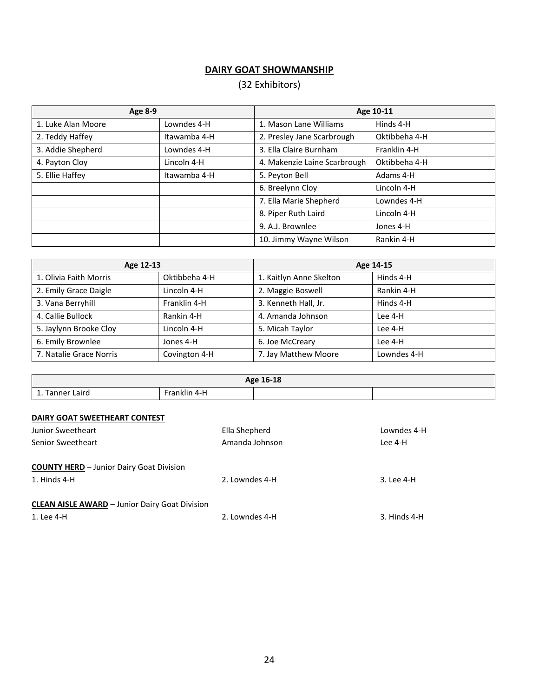# **DAIRY GOAT SHOWMANSHIP**

# (32 Exhibitors)

| Age 8-9            |              |                              | Age 10-11     |
|--------------------|--------------|------------------------------|---------------|
| 1. Luke Alan Moore | Lowndes 4-H  | 1. Mason Lane Williams       | Hinds 4-H     |
| 2. Teddy Haffey    | Itawamba 4-H | 2. Presley Jane Scarbrough   | Oktibbeha 4-H |
| 3. Addie Shepherd  | Lowndes 4-H  | 3. Ella Claire Burnham       | Franklin 4-H  |
| 4. Payton Cloy     | Lincoln 4-H  | 4. Makenzie Laine Scarbrough | Oktibbeha 4-H |
| 5. Ellie Haffey    | Itawamba 4-H | 5. Peyton Bell               | Adams 4-H     |
|                    |              | 6. Breelynn Cloy             | Lincoln 4-H   |
|                    |              | 7. Ella Marie Shepherd       | Lowndes 4-H   |
|                    |              | 8. Piper Ruth Laird          | Lincoln 4-H   |
|                    |              | 9. A.J. Brownlee             | Jones 4-H     |
|                    |              | 10. Jimmy Wayne Wilson       | Rankin 4-H    |

| Age 12-13               |               |                         | Age 14-15   |
|-------------------------|---------------|-------------------------|-------------|
| 1. Olivia Faith Morris  | Oktibbeha 4-H | 1. Kaitlyn Anne Skelton | Hinds 4-H   |
| 2. Emily Grace Daigle   | Lincoln 4-H   | 2. Maggie Boswell       | Rankin 4-H  |
| 3. Vana Berryhill       | Franklin 4-H  | 3. Kenneth Hall, Jr.    | Hinds 4-H   |
| 4. Callie Bullock       | Rankin 4-H    | 4. Amanda Johnson       | Lee 4-H     |
| 5. Jaylynn Brooke Cloy  | Lincoln 4-H   | 5. Micah Taylor         | Lee 4-H     |
| 6. Emily Brownlee       | Jones 4-H     | 6. Joe McCreary         | Lee 4-H     |
| 7. Natalie Grace Norris | Covington 4-H | 7. Jay Matthew Moore    | Lowndes 4-H |

| Age 16-18                         |                                                                                                                                             |  |  |
|-----------------------------------|---------------------------------------------------------------------------------------------------------------------------------------------|--|--|
| -1<br>Laird<br>Tanner<br><b>.</b> | .<br>Franklin<br>$4 - 1$<br>the contract of the contract of the contract of the contract of the contract of the contract of the contract of |  |  |

# **DAIRY GOAT SWEETHEART CONTEST**

| Junior Sweetheart                                     | Ella Shepherd  | Lowndes 4-H  |
|-------------------------------------------------------|----------------|--------------|
| Senior Sweetheart                                     | Amanda Johnson | Lee 4-H      |
| <b>COUNTY HERD</b> - Junior Dairy Goat Division       |                |              |
| 1. Hinds 4-H                                          | 2. Lowndes 4-H | 3. Lee 4-H   |
| <b>CLEAN AISLE AWARD - Junior Dairy Goat Division</b> |                |              |
| 1. Lee 4-H                                            | 2. Lowndes 4-H | 3. Hinds 4-H |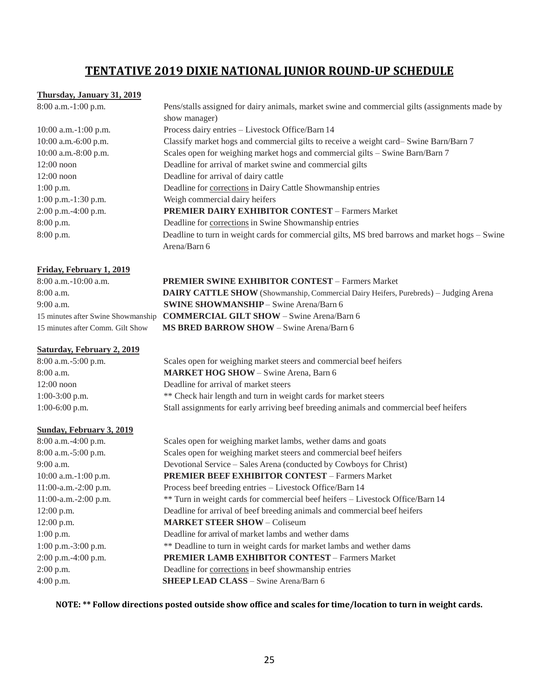# **TENTATIVE 2019 DIXIE NATIONAL JUNIOR ROUND-UP SCHEDULE**

#### **Thursday, January 31, 2019**

8:00 a.m.-1:00 p.m. Pens/stalls assigned for dairy animals, market swine and commercial gilts (assignments made by

|                        | show manager)                                                                                  |
|------------------------|------------------------------------------------------------------------------------------------|
| $10:00$ a.m.-1:00 p.m. | Process dairy entries - Livestock Office/Barn 14                                               |
| $10:00$ a.m.-6:00 p.m. | Classify market hogs and commercial gilts to receive a weight card-Swine Barn/Barn 7           |
| 10:00 a.m.-8:00 p.m.   | Scales open for weighing market hogs and commercial gilts – Swine Barn/Barn 7                  |
| $12:00$ noon           | Deadline for arrival of market swine and commercial gilts                                      |
| $12:00$ noon           | Deadline for arrival of dairy cattle                                                           |
| $1:00$ p.m.            | Deadline for corrections in Dairy Cattle Showmanship entries                                   |
| $1:00$ p.m.-1:30 p.m.  | Weigh commercial dairy heifers                                                                 |
| $2:00$ p.m.-4:00 p.m.  | <b>PREMIER DAIRY EXHIBITOR CONTEST - Farmers Market</b>                                        |
| 8:00 p.m.              | Deadline for corrections in Swine Showmanship entries                                          |
| $8:00$ p.m.            | Deadline to turn in weight cards for commercial gilts, MS bred barrows and market hogs - Swine |
|                        | Arena/Barn 6                                                                                   |

#### **Friday, February 1, 2019**

8:00 a.m.-10:00 a.m. **PREMIER SWINE EXHIBITOR CONTEST** – Farmers Market 8:00 a.m. **DAIRY CATTLE SHOW** (Showmanship, Commercial Dairy Heifers, Purebreds) – Judging Arena 9:00 a.m. **SWINE SHOWMANSHIP** – Swine Arena/Barn 6 15 minutes after Swine Showmanship **COMMERCIAL GILT SHOW** – Swine Arena/Barn 6 15 minutes after Comm. Gilt Show **MS BRED BARROW SHOW** – Swine Arena/Barn 6

## **Saturday, February 2, 2019**

8:00 a.m.-5:00 p.m. Scales open for weighing market steers and commercial beef heifers 8:00 a.m. **MARKET HOG SHOW** – Swine Arena, Barn 6 12:00 noon Deadline for arrival of market steers 1:00-3:00 p.m. \*\* Check hair length and turn in weight cards for market steers 1:00-6:00 p.m. Stall assignments for early arriving beef breeding animals and commercial beef heifers

#### **Sunday, February 3, 2019**

8:00 a.m.-4:00 p.m. Scales open for weighing market lambs, wether dams and goats 8:00 a.m.-5:00 p.m. Scales open for weighing market steers and commercial beef heifers 9:00 a.m. Devotional Service – Sales Arena (conducted by Cowboys for Christ) 10:00 a.m.-1:00 p.m. **PREMIER BEEF EXHIBITOR CONTEST** – Farmers Market 11:00-a.m.-2:00 p.m. Process beef breeding entries – Livestock Office/Barn 14 11:00-a.m.-2:00 p.m. \*\* Turn in weight cards for commercial beef heifers – Livestock Office/Barn 14 12:00 p.m. Deadline for arrival of beef breeding animals and commercial beef heifers 12:00 p.m. **MARKET STEER SHOW** – Coliseum 1:00 p.m. Deadline for arrival of market lambs and wether dams 1:00 p.m.-3:00 p.m. \*\* Deadline to turn in weight cards for market lambs and wether dams 2:00 p.m.-4:00 p.m. **PREMIER LAMB EXHIBITOR CONTEST** – Farmers Market 2:00 p.m. Deadline for corrections in beef showmanship entries 4:00 p.m. **SHEEP LEAD CLASS** – Swine Arena/Barn 6

**NOTE: \*\* Follow directions posted outside show office and scales for time/location to turn in weight cards.**